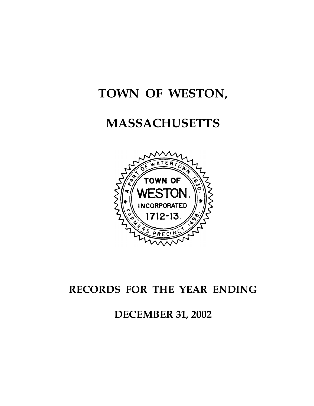# **TOWN OF WESTON,**

# **MASSACHUSETTS**



# **RECORDS FOR THE YEAR ENDING**

**DECEMBER 31, 2002**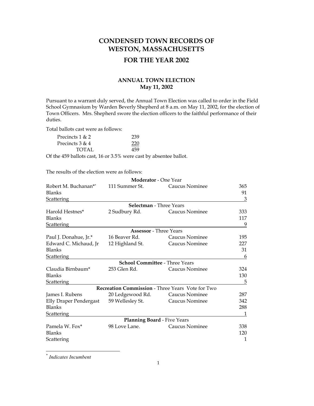# **CONDENSED TOWN RECORDS OF WESTON, MASSACHUSETTS**

# **FOR THE YEAR 2002**

# **ANNUAL TOWN ELECTION May 11, 2002**

Pursuant to a warrant duly served, the Annual Town Election was called to order in the Field School Gymnasium by Warden Beverly Shepherd at 8 a.m. on May 11, 2002, for the election of Town Officers. Mrs. Shepherd swore the election officers to the faithful performance of their duties.

Total ballots cast were as follows:

| Precincts $1 & 2$ | 239 |
|-------------------|-----|
| Precincts $3 & 4$ | 220 |
| TOTAL             | 459 |

Of the 459 ballots cast, 16 or 3.5% were cast by absentee ballot.

The results of the election were as follows:

|                        | Moderator - One Year                  |                                                  |     |
|------------------------|---------------------------------------|--------------------------------------------------|-----|
| Robert M. Buchanan**   | 111 Summer St.                        | Caucus Nominee                                   | 365 |
| Blanks                 |                                       |                                                  | 91  |
| <b>Scattering</b>      |                                       |                                                  | 3   |
|                        | Selectman - Three Years               |                                                  |     |
| Harold Hestnes*        | 2 Sudbury Rd.                         | Caucus Nominee                                   | 333 |
| <b>Blanks</b>          |                                       |                                                  | 117 |
| <b>Scattering</b>      |                                       |                                                  | 9   |
|                        | <b>Assessor</b> - Three Years         |                                                  |     |
| Paul J. Donahue, Jr.*  | 16 Beaver Rd.                         | Caucus Nominee                                   | 195 |
| Edward C. Michaud, Jr  | 12 Highland St.                       | Caucus Nominee                                   | 227 |
| <b>Blanks</b>          |                                       |                                                  | 31  |
| <b>Scattering</b>      |                                       |                                                  | 6   |
|                        | <b>School Committee - Three Years</b> |                                                  |     |
| Claudia Birnbaum*      | 253 Glen Rd.                          | Caucus Nominee                                   | 324 |
| Blanks                 |                                       |                                                  | 130 |
| <b>Scattering</b>      |                                       |                                                  | 5   |
|                        |                                       | Recreation Commission - Three Years Vote for Two |     |
| James I. Rubens        | 20 Ledgewood Rd.                      | Caucus Nominee                                   | 287 |
| Elly Draper Pendergast | 59 Wellesley St.                      | Caucus Nominee                                   | 342 |
| <b>Blanks</b>          |                                       |                                                  | 288 |
| <b>Scattering</b>      |                                       |                                                  | 1   |
|                        | <b>Planning Board - Five Years</b>    |                                                  |     |
| Pamela W. Fox*         | 98 Love Lane.                         | Caucus Nominee                                   | 338 |
| <b>Blanks</b>          |                                       |                                                  | 120 |
| Scattering             |                                       |                                                  | 1   |

<span id="page-1-0"></span>\* *Indicates Incumbent*

 $\overline{a}$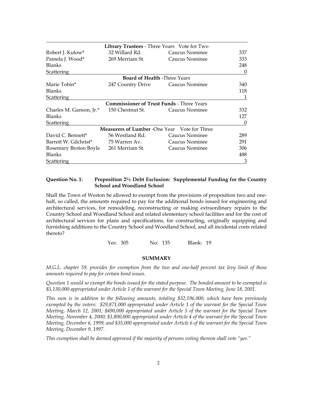|                                       | <b>Library Trustees</b> - Three Years Vote for Two  |                |     |
|---------------------------------------|-----------------------------------------------------|----------------|-----|
| Robert J. Kulow*                      | 32 Willard Rd.                                      | Caucus Nominee | 337 |
| Pamela J. Wood*                       | 269 Merriam St.                                     | Caucus Nominee | 333 |
| <b>Blanks</b>                         |                                                     |                | 248 |
| Scattering                            |                                                     |                | 0   |
|                                       | <b>Board of Health -Three Years</b>                 |                |     |
| Marie Tobin*                          | 247 Country Drive Caucus Nominee                    |                | 340 |
| <b>Blanks</b>                         |                                                     |                | 118 |
| Scattering                            |                                                     |                | 1   |
|                                       | <b>Commissioner of Trust Funds - Three Years</b>    |                |     |
| Charles M. Ganson, Jr.*               | 150 Chestnut St.                                    | Caucus Nominee | 332 |
| <b>Blanks</b>                         |                                                     |                | 127 |
| Scattering                            |                                                     |                | 0   |
|                                       | <b>Measurers of Lumber -One Year</b> Vote for Three |                |     |
| David C. Bennett*                     | 56 Westland Rd.                                     | Caucus Nominee | 289 |
| Barrett W. Gilchrist*                 | 75 Warren Av.                                       | Caucus Nominee | 291 |
| Rosemary Broton Boyle 261 Merriam St. |                                                     | Caucus Nominee | 306 |
| <b>Blanks</b>                         |                                                     |                | 488 |
| Scattering                            |                                                     |                | 3   |

# **Question No. 1: Proposition 2½ Debt Exclusion: Supplemental Funding for the Country School and Woodland School**

Shall the Town of Weston be allowed to exempt from the provisions of proposition two and onehalf, so called, the amounts required to pay for the additional bonds issued for engineering and architectural services, for remodeling, reconstructing or making extraordinary repairs to the Country School and Woodland School and related elementary school facilities and for the cost of architectural services for plans and specifications, for constructing, originally equipping and furnishing additions to the Country School and Woodland School, and all incidental costs related thereto?

Yes: 305 No: 135 Blank: 19

### **SUMMARY**

*M.G.L. chapter 59, provides for exemption from the two and one-half percent tax levy limit of those amounts required to pay for certain bond issues.* 

*Question 1 would so exempt the bonds issued for the stated purpose. The bonded amount to be exempted is \$5,130,000 appropriated under Article 1 of the warrant for the Special Town Meeting, June 18, 2001.* 

*This sum is in addition to the following amounts, totaling \$32,196,000, which have been previously exempted by the voters: \$29,871,000 appropriated under Article 1 of the warrant for the Special Town Meeting, March 12, 2001; \$490,000 appropriated under Article 5 of the warrant for the Special Town Meeting, November 4, 2000; \$1,800,000 appropriated under Article 4 of the warrant for the Special Town Meeting, December 6, 1999; and \$35,000 appropriated under Article 6 of the warrant for the Special Town Meeting, December 9, 1997.* 

*This exemption shall be deemed approved if the majority of persons voting thereon shall vote "yes."*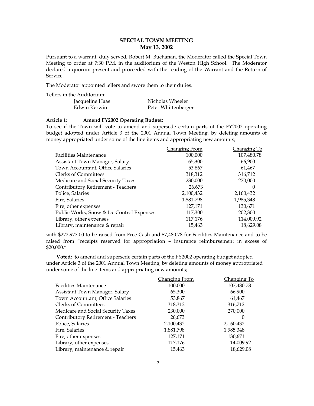# **SPECIAL TOWN MEETING May 13, 2002**

Pursuant to a warrant, duly served, Robert M. Buchanan, the Moderator called the Special Town Meeting to order at 7:30 P.M. in the auditorium of the Weston High School. The Moderator declared a quorum present and proceeded with the reading of the Warrant and the Return of Service.

The Moderator appointed tellers and swore them to their duties.

Tellers in the Auditorium:

| Jacqueline Haas | Nicholas Wheeler    |
|-----------------|---------------------|
| Edwin Kerwin    | Peter Whittenberger |

#### **Article 1**: **Amend FY2002 Operating Budget:**

To see if the Town will vote to amend and supersede certain parts of the FY2002 operating budget adopted under Article 3 of the 2001 Annual Town Meeting, by deleting amounts of money appropriated under some of the line items and appropriating new amounts;

|                                           | Changing From | Changing To |
|-------------------------------------------|---------------|-------------|
| <b>Facilities Maintenance</b>             | 100,000       | 107,480.78  |
| Assistant Town Manager, Salary            | 65,300        | 66,900      |
| Town Accountant, Office Salaries          | 53,867        | 61,467      |
| <b>Clerks of Committees</b>               | 318,312       | 316,712     |
| Medicare and Social Security Taxes        | 230,000       | 270,000     |
| Contributory Retirement - Teachers        | 26,673        |             |
| Police, Salaries                          | 2,100,432     | 2,160,432   |
| Fire, Salaries                            | 1,881,798     | 1,985,348   |
| Fire, other expenses                      | 127,171       | 130,671     |
| Public Works, Snow & Ice Control Expenses | 117,300       | 202,300     |
| Library, other expenses                   | 117,176       | 114,009.92  |
| Library, maintenance & repair             | 15,463        | 18,629.08   |

with \$272,977.00 to be raised from Free Cash and \$7,480.78 for Facilities Maintenance and to be raised from "receipts reserved for appropriation – insurance reimbursement in excess of \$20,000."

**Voted:** to amend and supersede certain parts of the FY2002 operating budget adopted under Article 3 of the 2001 Annual Town Meeting, by deleting amounts of money appropriated under some of the line items and appropriating new amounts;

|                                    | Changing From | Changing To |
|------------------------------------|---------------|-------------|
| <b>Facilities Maintenance</b>      | 100,000       | 107,480.78  |
| Assistant Town Manager, Salary     | 65,300        | 66,900      |
| Town Accountant, Office Salaries   | 53,867        | 61,467      |
| <b>Clerks of Committees</b>        | 318,312       | 316,712     |
| Medicare and Social Security Taxes | 230,000       | 270,000     |
| Contributory Retirement - Teachers | 26,673        | 0           |
| Police, Salaries                   | 2,100,432     | 2,160,432   |
| Fire, Salaries                     | 1,881,798     | 1,985,348   |
| Fire, other expenses               | 127,171       | 130,671     |
| Library, other expenses            | 117,176       | 14,009.92   |
| Library, maintenance & repair      | 15,463        | 18,629.08   |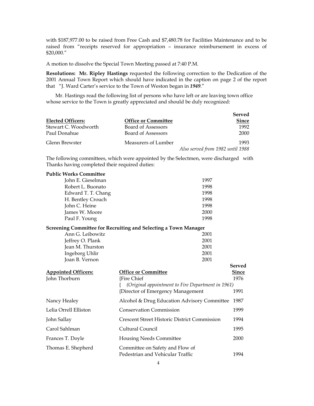with \$187,977.00 to be raised from Free Cash and \$7,480.78 for Facilities Maintenance and to be raised from "receipts reserved for appropriation – insurance reimbursement in excess of \$20,000."

A motion to dissolve the Special Town Meeting passed at 7:40 P.M.

**Resolutions: Mr. Ripley Hastings** requested the following correction to the Dedication of the 2001 Annual Town Report which should have indicated in the caption on page 2 of the report that "J. Ward Carter's service to the Town of Weston began in *1949*."

Mr. Hastings read the following list of persons who have left or are leaving town office whose service to the Town is greatly appreciated and should be duly recognized:

|                      |                            | Served                           |
|----------------------|----------------------------|----------------------------------|
| Elected Officers:    | <b>Office or Committee</b> | <b>Since</b>                     |
| Stewart C. Woodworth | Board of Assessors         | 1992                             |
| Paul Donahue         | Board of Assessors         | 2000                             |
| Glenn Brewster       | Measurers of Lumber        | 1993                             |
|                      |                            | Also served from 1982 until 1988 |

The following committees, which were appointed by the Selectmen, were discharged with Thanks having completed their required duties:

| <b>Public Works Committee</b>               |                                                                        |                      |
|---------------------------------------------|------------------------------------------------------------------------|----------------------|
| John E. Gieselman                           | 1997                                                                   |                      |
| Robert L. Buonato                           | 1998                                                                   |                      |
| Edward T. T. Chang                          | 1998                                                                   |                      |
| H. Bentley Crouch                           | 1998                                                                   |                      |
| John C. Heine                               | 1998                                                                   |                      |
| James W. Moore                              | 2000                                                                   |                      |
| Paul F. Young                               | 1998                                                                   |                      |
|                                             | <b>Screening Committee for Recruiting and Selecting a Town Manager</b> |                      |
| Ann G. Leibowitz                            | 2001                                                                   |                      |
| Jeffrey O. Plank                            | 2001                                                                   |                      |
| Jean M. Thurston                            | 2001                                                                   |                      |
| Ingeborg Uhlir                              | 2001                                                                   |                      |
| Joan B. Vernon                              | 2001                                                                   |                      |
|                                             |                                                                        | <b>Served</b>        |
| <b>Appointed Officers:</b><br>John Thorburn | <b>Office or Committee</b><br><b>{Fire Chief</b>                       | <b>Since</b><br>1976 |
|                                             | (Original appointment to Fire Department in 1961)                      |                      |
|                                             | {Director of Emergency Management                                      | 1991                 |
|                                             |                                                                        |                      |
| Nancy Healey                                | Alcohol & Drug Education Advisory Committee                            | 1987                 |
| Lelia Orrell Elliston                       | <b>Conservation Commission</b>                                         | 1999                 |
| John Sallay                                 | <b>Crescent Street Historic District Commission</b>                    | 1994                 |
| Carol Sahlman                               | Cultural Council                                                       | 1995                 |
| Frances T. Doyle                            | <b>Housing Needs Committee</b>                                         | 2000                 |
| Thomas E. Shepherd                          | Committee on Safety and Flow of<br>Pedestrian and Vehicular Traffic    | 1994                 |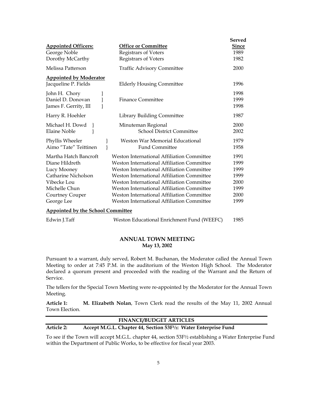|                                                                                                                                                |                                                                                                                                                                                                                                                                                                                                                                                                                 | <b>Served</b>                                                |
|------------------------------------------------------------------------------------------------------------------------------------------------|-----------------------------------------------------------------------------------------------------------------------------------------------------------------------------------------------------------------------------------------------------------------------------------------------------------------------------------------------------------------------------------------------------------------|--------------------------------------------------------------|
| <b>Appointed Officers:</b><br>George Noble                                                                                                     | <b>Office or Committee</b><br>Registrars of Voters                                                                                                                                                                                                                                                                                                                                                              | <b>Since</b><br>1989                                         |
| Dorothy McCarthy                                                                                                                               | Registrars of Voters                                                                                                                                                                                                                                                                                                                                                                                            | 1982                                                         |
| Melissa Patterson                                                                                                                              | <b>Traffic Advisory Committee</b>                                                                                                                                                                                                                                                                                                                                                                               | 2000                                                         |
|                                                                                                                                                |                                                                                                                                                                                                                                                                                                                                                                                                                 |                                                              |
| <b>Appointed by Moderator</b><br>Jacqueline P. Fields                                                                                          | <b>Elderly Housing Committee</b>                                                                                                                                                                                                                                                                                                                                                                                | 1996                                                         |
| John H. Chory<br>Daniel D. Donovan<br>James F. Gerrity, III                                                                                    | <b>Finance Committee</b>                                                                                                                                                                                                                                                                                                                                                                                        | 1998<br>1999<br>1998                                         |
| Harry R. Hoehler                                                                                                                               | <b>Library Building Committee</b>                                                                                                                                                                                                                                                                                                                                                                               | 1987                                                         |
| Michael H. Dowd<br><b>Elaine Noble</b>                                                                                                         | Minuteman Regional<br><b>School District Committee</b>                                                                                                                                                                                                                                                                                                                                                          | 2000<br>2002                                                 |
| Phyllis Wheeler<br>Aimo "Tate" Teittinen                                                                                                       | Weston War Memorial Educational<br><b>Fund Committee</b>                                                                                                                                                                                                                                                                                                                                                        | 1979<br>1958                                                 |
| Martha Hatch Bancroft<br>Diane Hildreth<br>Lucy Mooney<br>Catharine Nicholson<br>Vibecke Lou<br>Michelle Chun<br>Courtney Couper<br>George Lee | <b>Weston International Affiliation Committee</b><br><b>Weston International Affiliation Committee</b><br>Weston International Affiliation Committee<br><b>Weston International Affiliation Committee</b><br>Weston International Affiliation Committee<br>Weston International Affiliation Committee<br><b>Weston International Affiliation Committee</b><br><b>Weston International Affiliation Committee</b> | 1991<br>1999<br>1999<br>1999<br>2000<br>1999<br>2000<br>1999 |
| <b>Appointed by the School Committee</b>                                                                                                       |                                                                                                                                                                                                                                                                                                                                                                                                                 |                                                              |
| Edwin J.Taff                                                                                                                                   | Weston Educational Enrichment Fund (WEEFC)                                                                                                                                                                                                                                                                                                                                                                      | 1985                                                         |

# **ANNUAL TOWN MEETING May 13, 2002**

Pursuant to a warrant, duly served, Robert M. Buchanan, the Moderator called the Annual Town Meeting to order at 7:45 P.M. in the auditorium of the Weston High School. The Moderator declared a quorum present and proceeded with the reading of the Warrant and the Return of Service.

The tellers for the Special Town Meeting were re-appointed by the Moderator for the Annual Town Meeting.

**Article 1: M. Elizabeth Nolan**, Town Clerk read the results of the May 11, 2002 Annual Town Election.

|                   | <b>FINANCE/BUDGET ARTICLES</b>                                                            |
|-------------------|-------------------------------------------------------------------------------------------|
| <b>Article 2:</b> | Accept M.G.L. Chapter 44, Section 53F <sup>1</sup> / <sub>2</sub> : Water Enterprise Fund |

To see if the Town will accept M.G.L. chapter 44, section 53F½ establishing a Water Enterprise Fund within the Department of Public Works, to be effective for fiscal year 2003.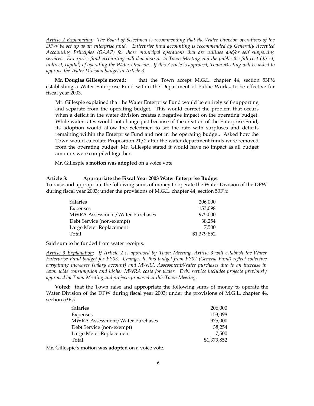*Article 2 Explanation: The Board of Selectmen is recommending that the Water Division operations of the DPW be set up as an enterprise fund. Enterprise fund accounting is recommended by Generally Accepted Accounting Principles (GAAP) for those municipal operations that are utilities and/or self supporting services. Enterprise fund accounting will demonstrate to Town Meeting and the public the full cost (direct, indirect, capital) of operating the Water Division. If this Article is approved, Town Meeting will be asked to approve the Water Division budget in Article 3.* 

**Mr. Douglas Gillespie moved:** that the Town accept M.G.L. chapter 44, section 53F½ establishing a Water Enterprise Fund within the Department of Public Works, to be effective for fiscal year 2003.

Mr. Gillespie explained that the Water Enterprise Fund would be entirely self-supporting and separate from the operating budget. This would correct the problem that occurs when a deficit in the water division creates a negative impact on the operating budget. While water rates would not change just because of the creation of the Enterprise Fund, its adoption would allow the Selectmen to set the rate with surpluses and deficits remaining within the Enterprise Fund and not in the operating budget. Asked how the Town would calculate Proposition 21/2 after the water department funds were removed from the operating budget, Mr. Gillespie stated it would have no impact as all budget amounts were compiled together.

Mr. Gillespie's **motion was adopted** on a voice vote

#### **Article 3: Appropriate the Fiscal Year 2003 Water Enterprise Budget**

To raise and appropriate the following sums of money to operate the Water Division of the DPW during fiscal year 2003; under the provisions of M.G.L. chapter 44, section 53F½:

| <b>Salaries</b>                        | 206,000     |
|----------------------------------------|-------------|
| Expenses                               | 153,098     |
| <b>MWRA Assessment/Water Purchases</b> | 975,000     |
| Debt Service (non-exempt)              | 38.254      |
| Large Meter Replacement                | 7,500       |
| Total                                  | \$1,379,852 |

Said sum to be funded from water receipts.

*Article 3 Explanation*: *If Article 2 is approved by Town Meeting, Article 3 will establish the Water Enterprise Fund budget for FY03. Changes to this budget from FY02 (General Fund) reflect collective bargaining increases (salary account) and MWRA Assessment/Water purchases due to an increase in town wide consumption and higher MWRA costs for water. Debt service includes projects previously approved by Town Meeting and projects proposed at this Town Meeting.* 

**Voted:** that the Town raise and appropriate the following sums of money to operate the Water Division of the DPW during fiscal year 2003; under the provisions of M.G.L. chapter 44, section 53F½:

| <b>Salaries</b>                        | 206,000     |
|----------------------------------------|-------------|
| <b>Expenses</b>                        | 153.098     |
| <b>MWRA Assessment/Water Purchases</b> | 975,000     |
| Debt Service (non-exempt)              | 38.254      |
| Large Meter Replacement                | 7,500       |
| Total                                  | \$1,379,852 |

Mr. Gillespie's motion **was adopted** on a voice vote.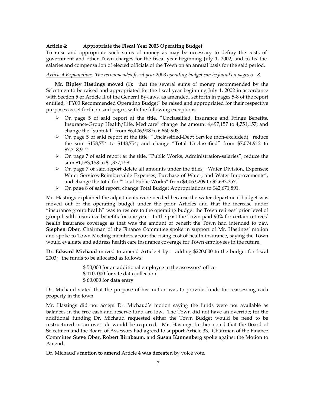# **Article 4: Appropriate the Fiscal Year 2003 Operating Budget**

To raise and appropriate such sums of money as may be necessary to defray the costs of government and other Town charges for the fiscal year beginning July 1, 2002, and to fix the salaries and compensation of elected officials of the Town on an annual basis for the said period.

# *Article 4 Explanation*: *The recommended fiscal year 2003 operating budget can be found on pages 5 - 8.*

**Mr. Ripley Hastings moved (1):** that the several sums of money recommended by the Selectmen to be raised and appropriated for the fiscal year beginning July 1, 2002 in accordance with Section 5 of Article II of the General By-laws, as amended, set forth in pages 5-8 of the report entitled, "FY03 Recommended Operating Budget" be raised and appropriated for their respective purposes as set forth on said pages, with the following exceptions:

- $\triangleright$  On page 5 of said report at the title, "Unclassified, Insurance and Fringe Benefits, Insurance-Group Health/Life, Medicare" change the amount 4,497,157 to 4,751,157; and change the "subtotal" from \$6,406,908 to 6,660,908.
- ¾ On page 5 of said report at the title, "Unclassified-Debt Service (non-excluded)" reduce the sum \$158,754 to \$148,754; and change "Total Unclassified" from \$7,074,912 to \$7,318,912.
- ¾ On page 7 of said report at the title, "Public Works, Administration-salaries", reduce the sum \$1,583,158 to \$1,377,158.
- $\triangleright$  On page 7 of said report delete all amounts under the titles, "Water Division, Expenses; Water Services-Reimbursable Expenses; Purchase of Water; and Water Improvements", and change the total for "Total Public Works" from \$4,063,209 to \$2,693,357.
- ¾ On page 8 of said report, change Total Budget Appropriations to \$42,671,891.

Mr. Hastings explained the adjustments were needed because the water department budget was moved out of the operating budget under the prior Articles and that the increase under "insurance group health" was to restore to the operating budget the Town retirees' prior level of group health insurance benefits for one year. In the past the Town paid 90% for certain retirees' health insurance coverage as that was the amount of benefit the Town had intended to pay. **Stephen Ober**, Chairman of the Finance Committee spoke in support of Mr. Hastings' motion and spoke to Town Meeting members about the rising cost of health insurance, saying the Town would evaluate and address health care insurance coverage for Town employees in the future.

**Dr. Edward Michaud** moved to amend Article 4 by: adding \$220,000 to the budget for fiscal 2003; the funds to be allocated as follows:

> \$ 50,000 for an additional employee in the assessors' office \$ 110, 000 for site data collection \$ 60,000 for data entry

Dr. Michaud stated that the purpose of his motion was to provide funds for reassessing each property in the town.

Mr. Hastings did not accept Dr. Michaud's motion saying the funds were not available as balances in the free cash and reserve fund are low. The Town did not have an override; for the additional funding Dr. Michaud requested either the Town Budget would be need to be restructured or an override would be required. Mr. Hastings further noted that the Board of Selectmen and the Board of Assessors had agreed to support Article 33. Chairman of the Finance Committee **Steve Ober, Robert Birnbaum**, and **Susan Kannenberg** spoke against the Motion to Amend.

Dr. Michaud's **motion to amend** Article 4 **was defeated** by voice vote.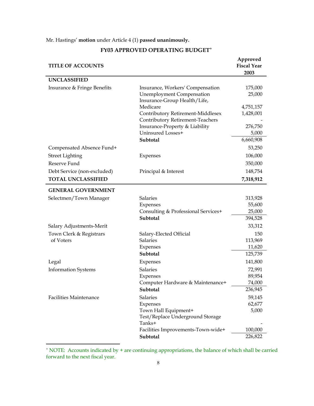# Mr. Hastings' **motion** under Article 4 (1) **passed unanimously.**

| <b>TITLE OF ACCOUNTS</b>      |                                               | Approved<br><b>Fiscal Year</b><br>2003 |
|-------------------------------|-----------------------------------------------|----------------------------------------|
| <b>UNCLASSIFIED</b>           |                                               |                                        |
| Insurance & Fringe Benefits   | Insurance, Workers' Compensation              | 175,000                                |
|                               | <b>Unemployment Compensation</b>              | 25,000                                 |
|                               | Insurance-Group Health/Life,                  |                                        |
|                               | Medicare<br>Contributory Retirement-Middlesex | 4,751,157<br>1,428,001                 |
|                               | Contributory Retirement-Teachers              |                                        |
|                               | Insurance-Property & Liability                | 276,750                                |
|                               | Uninsured Losses+                             | 5,000                                  |
|                               | Subtotal                                      | 6,660,908                              |
| Compensated Absence Fund+     |                                               | 53,250                                 |
| <b>Street Lighting</b>        | Expenses                                      | 106,000                                |
| Reserve Fund                  |                                               | 350,000                                |
| Debt Service (non-excluded)   | Principal & Interest                          | 148,754                                |
| <b>TOTAL UNCLASSIFIED</b>     |                                               | 7,318,912                              |
| <b>GENERAL GOVERNMENT</b>     |                                               |                                        |
| Selectmen/Town Manager        | <b>Salaries</b>                               | 313,928                                |
|                               | Expenses                                      | 55,600                                 |
|                               | Consulting & Professional Services+           | 25,000                                 |
|                               | Subtotal                                      | 394,528                                |
| Salary Adjustments-Merit      |                                               | 33,312                                 |
| Town Clerk & Registrars       | Salary-Elected Official                       | 150                                    |
| of Voters                     | Salaries                                      | 113,969                                |
|                               | Expenses<br>Subtotal                          | 11,620<br>125,739                      |
| Legal                         | Expenses                                      | 141,800                                |
| <b>Information Systems</b>    | <b>Salaries</b>                               | 72,991                                 |
|                               | Expenses                                      | 89,954                                 |
|                               | Computer Hardware & Maintenance+              | 74,000                                 |
|                               | Subtotal                                      | 236,945                                |
| <b>Facilities Maintenance</b> | <b>Salaries</b>                               | 59,145                                 |
|                               | Expenses                                      | 62,677                                 |
|                               | Town Hall Equipment+                          | 5,000                                  |
|                               | Test/Replace Underground Storage<br>Tanks+    |                                        |
|                               | Facilities Improvements-Town-wide+            | 100,000                                |
|                               | Subtotal                                      | 226,822                                |

# **FY03 APPROVED OPERATING BUDGET**[+](#page-8-0)

<span id="page-8-0"></span> + NOTE: Accounts indicated by + are continuing appropriations, the balance of which shall be carried forward to the next fiscal year.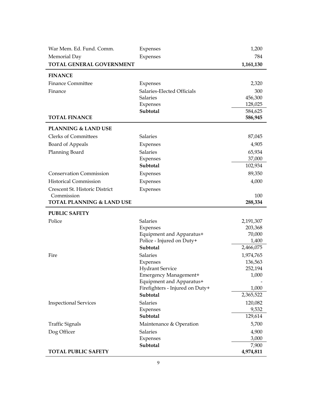| War Mem. Ed. Fund. Comm.             | Expenses                                        | 1,200            |
|--------------------------------------|-------------------------------------------------|------------------|
| Memorial Day                         | Expenses                                        | 784              |
| TOTAL GENERAL GOVERNMENT             |                                                 | 1,161,130        |
| <b>FINANCE</b>                       |                                                 |                  |
| <b>Finance Committee</b>             | Expenses                                        | 2,320            |
| Finance                              | Salaries-Elected Officials                      | 300              |
|                                      | <b>Salaries</b>                                 | 456,300          |
|                                      | <b>Expenses</b>                                 | 128,025          |
|                                      | Subtotal                                        | 584,625          |
| <b>TOTAL FINANCE</b>                 |                                                 | 586,945          |
| <b>PLANNING &amp; LAND USE</b>       |                                                 |                  |
| <b>Clerks of Committees</b>          | Salaries                                        | 87,045           |
| Board of Appeals                     | Expenses                                        | 4,905            |
| Planning Board                       | <b>Salaries</b>                                 | 65,934           |
|                                      | Expenses                                        | 37,000           |
|                                      | Subtotal                                        | 102,934          |
| <b>Conservation Commission</b>       | Expenses                                        | 89,350           |
| <b>Historical Commission</b>         | Expenses                                        | 4,000            |
| Crescent St. Historic District       | Expenses                                        |                  |
| Commission                           |                                                 | 100              |
| <b>TOTAL PLANNING &amp; LAND USE</b> |                                                 | 288,334          |
| <b>PUBLIC SAFETY</b>                 |                                                 |                  |
| Police                               | <b>Salaries</b>                                 | 2,191,307        |
|                                      | <b>Expenses</b>                                 | 203,368          |
|                                      | Equipment and Apparatus+                        | 70,000           |
|                                      | Police - Injured on Duty+                       | 1,400            |
|                                      | Subtotal                                        | 2,466,075        |
| Fire                                 | Salaries                                        | 1,974,765        |
|                                      | Expenses                                        | 136,563          |
|                                      | <b>Hydrant Service</b><br>Emergency Management+ | 252,194<br>1,000 |
|                                      | Equipment and Apparatus+                        |                  |
|                                      | Firefighters - Injured on Duty+                 | 1,000            |
|                                      | Subtotal                                        | 2,365,522        |
| <b>Inspectional Services</b>         | <b>Salaries</b>                                 | 120,082          |
|                                      | <b>Expenses</b>                                 | 9,532            |
|                                      | Subtotal                                        | 129,614          |
| <b>Traffic Signals</b>               | Maintenance & Operation                         | 5,700            |
| Dog Officer                          | Salaries                                        | 4,900            |
|                                      | <b>Expenses</b>                                 | 3,000            |
|                                      | Subtotal                                        | 7,900            |
| <b>TOTAL PUBLIC SAFETY</b>           |                                                 | 4,974,811        |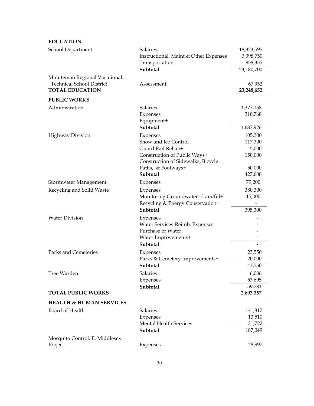| <b>EDUCATION</b>                                           |                                                                    |            |
|------------------------------------------------------------|--------------------------------------------------------------------|------------|
| School Department                                          | <b>Salaries</b>                                                    | 18,823,595 |
|                                                            | Instructional, Maint & Other Expenses                              | 3,398,750  |
|                                                            | Transportation                                                     | 958,355    |
|                                                            | Subtotal                                                           | 23,180,700 |
| Minuteman Regional Vocational                              |                                                                    |            |
| <b>Technical School District</b><br><b>TOTAL EDUCATION</b> | Assessment                                                         | 67,952     |
|                                                            |                                                                    | 23,248,652 |
| <b>PUBLIC WORKS</b>                                        |                                                                    |            |
| Administration                                             | <b>Salaries</b>                                                    | 1,377,158  |
|                                                            | Expenses                                                           | 310,768    |
|                                                            | Equipment+<br>Subtotal                                             |            |
|                                                            |                                                                    | 1,687,926  |
| <b>Highway Division</b>                                    | Expenses                                                           | 105,300    |
|                                                            | Snow and Ice Control                                               | 117,300    |
|                                                            | Guard Rail Rehab+                                                  | 5,000      |
|                                                            | Construction of Public Ways+<br>Construction of Sidewalks, Bicycle | 150,000    |
|                                                            | Paths, & Footways+                                                 | 50,000     |
|                                                            | <b>Subtotal</b>                                                    | 427,600    |
| Stormwater Management                                      | Expenses                                                           | 79,200     |
| Recycling and Solid Waste                                  | Expenses                                                           | 380,300    |
|                                                            | Monitoring Groundwater - Landfill+                                 | 15,000     |
|                                                            | Recycling & Energy Conservation+                                   |            |
|                                                            | Subtotal                                                           | 395,300    |
| <b>Water Division</b>                                      | <b>Expenses</b>                                                    |            |
|                                                            | Water Services-Reimb. Expenses                                     |            |
|                                                            | Purchase of Water                                                  |            |
|                                                            | Water Improvements+                                                |            |
|                                                            | Subtotal                                                           |            |
| Parks and Cemeteries                                       | Expenses                                                           | 23,550     |
|                                                            | Parks & Cemetery Improvements+                                     | 20,000     |
|                                                            | <b>Subtotal</b>                                                    | 43,550     |
| Tree Warden                                                | Salaries                                                           | 6,086      |
|                                                            | Expenses                                                           | 53,695     |
|                                                            | Subtotal                                                           | 59,781     |
| <b>TOTAL PUBLIC WORKS</b>                                  |                                                                    | 2,693,357  |
| <b>HEALTH &amp; HUMAN SERVICES</b>                         |                                                                    |            |
| Board of Health                                            | Salaries                                                           | 141,817    |
|                                                            | Expenses                                                           | 13,510     |
|                                                            | <b>Mental Health Services</b>                                      | 31,722     |
|                                                            | Subtotal                                                           | 187,049    |
| Mosquito Control, E. Middlesex                             |                                                                    |            |
| Project                                                    | Expenses                                                           | 28,997     |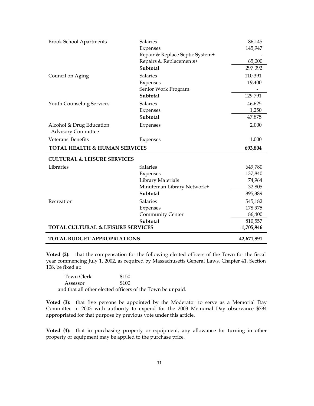| <b>Brook School Apartments</b>                        | <b>Salaries</b>                 | 86,145     |
|-------------------------------------------------------|---------------------------------|------------|
|                                                       | Expenses                        | 145,947    |
|                                                       | Repair & Replace Septic System+ |            |
|                                                       | Repairs & Replacements+         | 65,000     |
|                                                       | Subtotal                        | 297,092    |
| Council on Aging                                      | Salaries                        | 110,391    |
|                                                       | Expenses                        | 19,400     |
|                                                       | Senior Work Program             |            |
|                                                       | Subtotal                        | 129,791    |
| <b>Youth Counseling Services</b>                      | Salaries                        | 46,625     |
|                                                       | Expenses                        | 1,250      |
|                                                       | Subtotal                        | 47,875     |
| Alcohol & Drug Education<br><b>Advisory Committee</b> | <b>Expenses</b>                 | 2,000      |
|                                                       |                                 |            |
| Veterans' Benefits                                    | Expenses                        | 1,000      |
| <b>TOTAL HEALTH &amp; HUMAN SERVICES</b>              |                                 | 693,804    |
| <b>CULTURAL &amp; LEISURE SERVICES</b>                |                                 |            |
| Libraries                                             | <b>Salaries</b>                 | 649,780    |
|                                                       | Expenses                        | 137,840    |
|                                                       | Library Materials               | 74,964     |
|                                                       | Minuteman Library Network+      | 32,805     |
|                                                       | Subtotal                        | 895,389    |
| Recreation                                            | Salaries                        | 545,182    |
|                                                       | Expenses                        | 178,975    |
|                                                       | <b>Community Center</b>         | 86,400     |
|                                                       | Subtotal                        | 810,557    |
| <b>TOTAL CULTURAL &amp; LEISURE SERVICES</b>          |                                 | 1,705,946  |
| <b>TOTAL BUDGET APPROPRIATIONS</b>                    |                                 | 42,671,891 |

**Voted (2):** that the compensation for the following elected officers of the Town for the fiscal year commencing July 1, 2002, as required by Massachusetts General Laws, Chapter 41, Section 108, be fixed at:

| Town Clerk | \$150                                                      |
|------------|------------------------------------------------------------|
| Assessor   | \$100                                                      |
|            | and that all other elected officers of the Town be unpaid. |

**Voted (3):** that five persons be appointed by the Moderator to serve as a Memorial Day Committee in 2003 with authority to expend for the 2003 Memorial Day observance \$784 appropriated for that purpose by previous vote under this article.

**Voted (4):** that in purchasing property or equipment, any allowance for turning in other property or equipment may be applied to the purchase price.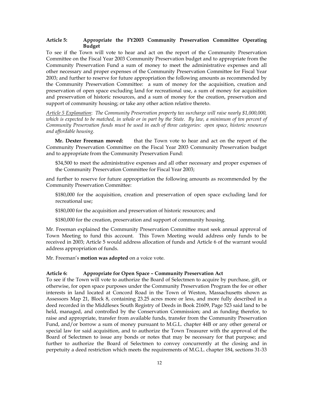# **Article 5: Appropriate the FY2003 Community Preservation Committee Operating Budget**

To see if the Town will vote to hear and act on the report of the Community Preservation Committee on the Fiscal Year 2003 Community Preservation budget and to appropriate from the Community Preservation Fund a sum of money to meet the administrative expenses and all other necessary and proper expenses of the Community Preservation Committee for Fiscal Year 2003; and further to reserve for future appropriation the following amounts as recommended by the Community Preservation Committee: a sum of money for the acquisition, creation and preservation of open space excluding land for recreational use, a sum of money for acquisition and preservation of historic resources, and a sum of money for the creation, preservation and support of community housing; or take any other action relative thereto.

*Article 5 Explanation*: *The Community Preservation property tax surcharge will raise nearly \$1,000,000, which is expected to be matched, in whole or in part by the State. By law, a minimum of ten percent of Community Preservation funds must be used in each of three categories: open space, historic resources and affordable housing.*

**Mr. Dexter Freeman moved:** that the Town vote to hear and act on the report of the Community Preservation Committee on the Fiscal Year 2003 Community Preservation budget and to appropriate from the Community Preservation Fund:

\$34,500 to meet the administrative expenses and all other necessary and proper expenses of the Community Preservation Committee for Fiscal Year 2003;

and further to reserve for future appropriation the following amounts as recommended by the Community Preservation Committee:

\$180,000 for the acquisition, creation and preservation of open space excluding land for recreational use;

\$180,000 for the acquisition and preservation of historic resources; and

\$180,000 for the creation, preservation and support of community housing.

Mr. Freeman explained the Community Preservation Committee must seek annual approval of Town Meeting to fund this account. This Town Meeting would address only funds to be received in 2003; Article 5 would address allocation of funds and Article 6 of the warrant would address appropriation of funds.

Mr. Freeman's **motion was adopted** on a voice vote.

# **Article 6: Appropriate for Open Space – Community Preservation Act**

To see if the Town will vote to authorize the Board of Selectmen to acquire by purchase, gift, or otherwise, for open space purposes under the Community Preservation Program the fee or other interests in land located at Concord Road in the Town of Weston, Massachusetts shown as Assessors Map 21, Block 8, containing 23.25 acres more or less, and more fully described in a deed recorded in the Middlesex South Registry of Deeds in Book 21609, Page 523 said land to be held, managed, and controlled by the Conservation Commission; and as funding therefor, to raise and appropriate, transfer from available funds, transfer from the Community Preservation Fund, and/or borrow a sum of money pursuant to M.G.L. chapter 44B or any other general or special law for said acquisition, and to authorize the Town Treasurer with the approval of the Board of Selectmen to issue any bonds or notes that may be necessary for that purpose; and further to authorize the Board of Selectmen to convey concurrently at the closing and in perpetuity a deed restriction which meets the requirements of M.G.L. chapter 184, sections 31-33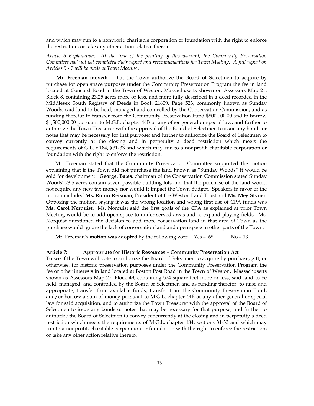and which may run to a nonprofit, charitable corporation or foundation with the right to enforce the restriction; or take any other action relative thereto.

*Article 6 Explanation: At the time of the printing of this warrant, the Community Preservation Committee had not yet completed their report and recommendations for Town Meeting. A full report on Articles 5 - 7 will be made at Town Meeting*.

**Mr. Freeman moved:** that the Town authorize the Board of Selectmen to acquire by purchase for open space purposes under the Community Preservation Program the fee in land located at Concord Road in the Town of Weston, Massachusetts shown on Assessors Map 21, Block 8, containing 23.25 acres more or less, and more fully described in a deed recorded in the Middlesex South Registry of Deeds in Book 21609, Page 523, commonly known as Sunday Woods, said land to be held, managed and controlled by the Conservation Commission, and as funding therefor to transfer from the Community Preservation Fund \$800,000.00 and to borrow \$1,500,000.00 pursuant to M.G.L. chapter 44B or any other general or special law, and further to authorize the Town Treasurer with the approval of the Board of Selectmen to issue any bonds or notes that may be necessary for that purpose; and further to authorize the Board of Selectmen to convey currently at the closing and in perpetuity a deed restriction which meets the requirements of G.L. c.184, §31-33 and which may run to a nonprofit, charitable corporation or foundation with the right to enforce the restriction.

Mr. Freeman stated that the Community Preservation Committee supported the motion explaining that if the Town did not purchase the land known as "Sunday Woods" it would be sold for development. **George. Bates**, chairman of the Conservation Commission stated Sunday Woods' 23.5 acres contain seven possible building lots and that the purchase of the land would not require any new tax money nor would it impact the Town Budget. Speakers in favor of the motion included **Ms. Robin Reisman**, President of the Weston Land Trust and **Ms. Meg Styner**. Opposing the motion, saying it was the wrong location and wrong first use of CPA funds was **Ms. Carol Norquist.** Ms. Norquist said the first goals of the CPA as explained at prior Town Meeting would be to add open space to under-served areas and to expand playing fields. Ms. Norquist questioned the decision to add more conservation land in that area of Town as the purchase would ignore the lack of conservation land and open space in other parts of the Town.

Mr. Freeman's **motion was adopted** by the following vote: Yes – 68 No – 13

#### **Article 7: Appropriate for Historic Resources – Community Preservation Act**

To see if the Town will vote to authorize the Board of Selectmen to acquire by purchase, gift, or otherwise, for historic preservation purposes under the Community Preservation Program the fee or other interests in land located at Boston Post Road in the Town of Weston, Massachusetts shown as Assessors Map 27, Block 49, containing 524 square feet more or less, said land to be held, managed, and controlled by the Board of Selectmen and as funding therefor, to raise and appropriate, transfer from available funds, transfer from the Community Preservation Fund, and/or borrow a sum of money pursuant to M.G.L. chapter 44B or any other general or special law for said acquisition, and to authorize the Town Treasurer with the approval of the Board of Selectmen to issue any bonds or notes that may be necessary for that purpose; and further to authorize the Board of Selectmen to convey concurrently at the closing and in perpetuity a deed restriction which meets the requirements of M.G.L. chapter 184, sections 31-33 and which may run to a nonprofit, charitable corporation or foundation with the right to enforce the restriction; or take any other action relative thereto.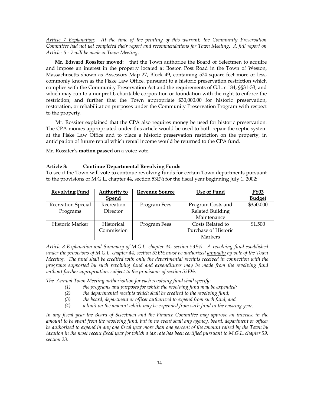*Article 7 Explanation: At the time of the printing of this warrant, the Community Preservation Committee had not yet completed their report and recommendations for Town Meeting. A full report on Articles 5 - 7 will be made at Town Meeting*.

**Mr. Edward Rossiter moved:** that the Town authorize the Board of Selectmen to acquire and impose an interest in the property located at Boston Post Road in the Town of Weston, Massachusetts shown as Assessors Map 27, Block 49, containing 524 square feet more or less, commonly known as the Fiske Law Office, pursuant to a historic preservation restriction which complies with the Community Preservation Act and the requirements of G.L. c.184, §§31-33, and which may run to a nonprofit, charitable corporation or foundation with the right to enforce the restriction; and further that the Town appropriate \$30,000.00 for historic preservation, restoration, or rehabilitation purposes under the Community Preservation Program with respect to the property.

Mr. Rossiter explained that the CPA also requires money be used for historic preservation. The CPA monies appropriated under this article would be used to both repair the septic system at the Fiske Law Office and to place a historic preservation restriction on the property, in anticipation of future rental which rental income would be returned to the CPA fund.

Mr. Rossiter's **motion passed** on a voice vote.

#### **Article 8: Continue Departmental Revolving Funds**

To see if the Town will vote to continue revolving funds for certain Town departments pursuant to the provisions of M.G.L. chapter 44, section 53E½ for the fiscal year beginning July 1, 2002:

| <b>Revolving Fund</b> | Authority to | <b>Revenue Source</b> | <b>Use of Fund</b>   | <b>FY03</b>   |
|-----------------------|--------------|-----------------------|----------------------|---------------|
|                       | <b>Spend</b> |                       |                      | <b>Budget</b> |
| Recreation Special    | Recreation   | Program Fees          | Program Costs and    | \$350,000     |
| Programs              | Director     |                       | Related Building     |               |
|                       |              |                       | Maintenance          |               |
| Historic Marker       | Historical   | Program Fees          | Costs Related to     | \$1,500       |
|                       | Commission   |                       | Purchase of Historic |               |
|                       |              |                       | Markers              |               |

*Article 8 Explanation and Summary of M.G.L. chapter 44, section 53E*½: *A revolving fund established under the provisions of M.G.L. chapter 44, section 53E*½ *must be authorized annually by vote of the Town Meeting. The fund shall be credited with only the departmental receipts received in connection with the programs supported by such revolving fund and expenditures may be made from the revolving fund without further appropriation, subject to the provisions of section 53E*½.

*The Annual Town Meeting authorization for each revolving fund shall specify:* 

- *(1) the programs and purposes for which the revolving fund may be expended;*
- *(2) the departmental receipts which shall be credited to the revolving fund;*
- *(3) the board, department or officer authorized to expend from such fund; and*
- *(4) a limit on the amount which may be expended from such fund in the ensuing year.*

*In any fiscal year the Board of Selectmen and the Finance Committee may approve an increase in the amount to be spent from the revolving fund, but in no event shall any agency, board, department or officer*  be authorized to expend in any one fiscal year more than one percent of the amount raised by the Town by *taxation in the most recent fiscal year for which a tax rate has been certified pursuant to M.G.L. chapter 59, section 23.*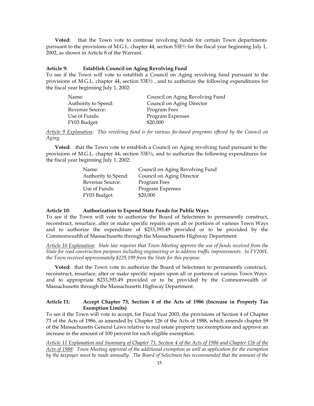**Voted:** that the Town vote to continue revolving funds for certain Town departments pursuant to the provisions of M.G.L. chapter 44, section 53E½ for the fiscal year beginning July 1, 2002, as shown in Article 8 of the Warrant.

#### **Article 9: Establish Council on Aging Revolving Fund**

To see if the Town will vote to establish a Council on Aging revolving fund pursuant to the provisions of M.G.L. chapter 44, section 53E½ , and to authorize the following expenditures for the fiscal year beginning July 1, 2002:

| Name:               | Council on Aging Revolving Fund |
|---------------------|---------------------------------|
| Authority to Spend: | Council on Aging Director       |
| Revenue Source:     | Program Fees                    |
| Use of Funds:       | Program Expenses                |
| FY03 Budget:        | \$20,000                        |

*Article 9 Explanation: This revolving fund is for various fee-based programs offered by the Council on Aging.* 

 **Voted:** that the Town vote to establish a Council on Aging revolving fund pursuant to the provisions of M.G.L. chapter 44, section 53E½, and to authorize the following expenditures for the fiscal year beginning July 1, 2002:

| Council on Aging Revolving Fund |
|---------------------------------|
| Council on Aging Director       |
| Program Fees                    |
| Program Expenses                |
| \$20,000                        |
|                                 |

#### **Article 10: Authorization to Expend State Funds for Public Ways**

To see if the Town will vote to authorize the Board of Selectmen to permanently construct, reconstruct, resurface, alter or make specific repairs upon all or portions of various Town Ways and to authorize the expenditure of \$233,393.49 provided or to be provided by the Commonwealth of Massachusetts through the Massachusetts Highway Department.

*Article 10 Explanation*: *State law requires that Town Meeting approve the use of funds received from the State for road construction purposes including engineering or to address traffic improvements. In FY2001, the Town received approximately \$229,199 from the State for this purpose.*

**Voted:** that the Town vote to authorize the Board of Selectmen to permanently construct, reconstruct, resurface, alter or make specific repairs upon all or portions of various Town Ways and to appropriate \$233,393.49 provided or to be provided by the Commonwealth of Massachusetts through the Massachusetts Highway Department.

# **Article 11: Accept Chapter 73, Section 4 of the Acts of 1986 (Increase in Property Tax Exemption Limits)**

To see if the Town will vote to accept, for Fiscal Year 2003, the provisions of Section 4 of Chapter 73 of the Acts of 1986, as amended by Chapter 126 of the Acts of 1988, which amends chapter 59 of the Massachusetts General Laws relative to real estate property tax exemptions and approve an increase in the amount of 100 percent for each eligible exemption.

*Article 11 Explanation and Summary of Chapter 73, Section 4 of the Acts of 1986 and Chapter 126 of the Acts of 1988*: *Town Meeting approval of the additional exemption as well as application for the exemption by the taxpayer must be made annually. The Board of Selectmen has recommended that the amount of the*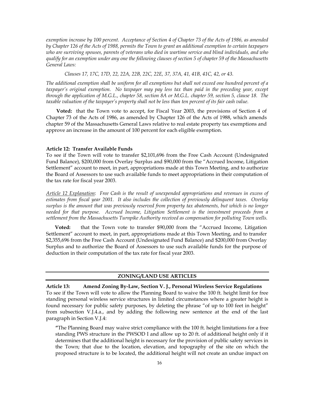*exemption increase by 100 percent. Acceptance of Section 4 of Chapter 73 of the Acts of 1986, as amended by Chapter 126 of the Acts of 1988, permits the Town to grant an additional exemption to certain taxpayers who are surviving spouses, parents of veterans who died in wartime service and blind individuals, and who qualify for an exemption under any one the following clauses of section 5 of chapter 59 of the Massachusetts General Laws:* 

*Clauses 17, 17C, 17D, 22, 22A, 22B, 22C, 22E, 37, 37A, 41, 41B, 41C, 42, or 43.* 

*The additional exemption shall be uniform for all exemptions but shall not exceed one hundred percent of a taxpayer's original exemption. No taxpayer may pay less tax than paid in the preceding year, except through the application of M.G.L., chapter 58, section 8A or M.G.L. chapter 59, section 5, clause 18. The taxable valuation of the taxpayer's property shall not be less than ten percent of its fair cash value.* 

**Voted:** that the Town vote to accept, for Fiscal Year 2003, the provisions of Section 4 of Chapter 73 of the Acts of 1986, as amended by Chapter 126 of the Acts of 1988, which amends chapter 59 of the Massachusetts General Laws relative to real estate property tax exemptions and approve an increase in the amount of 100 percent for each eligible exemption.

#### **Article 12: Transfer Available Funds**

To see if the Town will vote to transfer \$2,101,696 from the Free Cash Account (Undesignated Fund Balance), \$200,000 from Overlay Surplus and \$90,000 from the "Accrued Income, Litigation Settlement" account to meet, in part, appropriations made at this Town Meeting, and to authorize the Board of Assessors to use such available funds to meet appropriations in their computation of the tax rate for fiscal year 2003.

*Article 12 Explanation*: *Free Cash is the result of unexpended appropriations and revenues in excess of estimates from fiscal year 2001. It also includes the collection of previously delinquent taxes. Overlay surplus is the amount that was previously reserved from property tax abatements, but which is no longer needed for that purpose. Accrued Income, Litigation Settlement is the investment proceeds from a settlement from the Massachusetts Turnpike Authority received as compensation for polluting Town wells.* 

 **Voted:** that the Town vote to transfer \$90,000 from the "Accrued Income, Litigation Settlement" account to meet, in part, appropriations made at this Town Meeting, and to transfer \$2,355,696 from the Free Cash Account (Undesignated Fund Balance) and \$200,000 from Overlay Surplus and to authorize the Board of Assessors to use such available funds for the purpose of deduction in their computation of the tax rate for fiscal year 2003.

# **ZONING/LAND USE ARTICLES**

**Article 13: Amend Zoning By-Law, Section V. J., Personal Wireless Service Regulations**  To see if the Town will vote to allow the Planning Board to waive the 100 ft. height limit for free standing personal wireless service structures in limited circumstances where a greater height is found necessary for public safety purposes, by deleting the phrase "of up to 100 feet in height" from subsection V.J.4.a., and by adding the following new sentence at the end of the last paragraph in Section V.J.4:

**"**The Planning Board may waive strict compliance with the 100 ft. height limitations for a free standing PWS structure in the PWSOD I and allow up to 20 ft. of additional height only if it determines that the additional height is necessary for the provision of public safety services in the Town; that due to the location, elevation, and topography of the site on which the proposed structure is to be located, the additional height will not create an undue impact on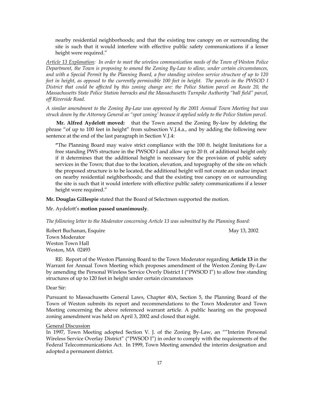nearby residential neighborhoods; and that the existing tree canopy on or surrounding the site is such that it would interfere with effective public safety communications if a lesser height were required."

*Article 13 Explanation: In order to meet the wireless communication needs of the Town of Weston Police Department, the Town is proposing to amend the Zoning By-Law to allow, under certain circumstances, and with a Special Permit by the Planning Board, a free standing wireless service structure of up to 120 feet in height, as opposed to the currently permissible 100 feet in height. The parcels in the PWSOD I District that could be affected by this zoning change are: the Police Station parcel on Route 20, the Massachusetts State Police Station barracks and the Massachusetts Turnpike Authority "ball field" parcel, off Riverside Road.* 

*A similar amendment to the Zoning By-Law was approved by the 2001 Annual Town Meeting but was struck down by the Attorney General as "spot zoning' because it applied solely to the Police Station parcel.* 

**Mr. Alfred Aydelott moved:** that the Town amend the Zoning By-law by deleting the phrase "of up to 100 feet in height" from subsection V.J.4.a., and by adding the following new sentence at the end of the last paragraph in Section V.J.4:

**"**The Planning Board may waive strict compliance with the 100 ft. height limitations for a free standing PWS structure in the PWSOD I and allow up to 20 ft. of additional height only if it determines that the additional height is necessary for the provision of public safety services in the Town; that due to the location, elevation, and topography of the site on which the proposed structure is to be located, the additional height will not create an undue impact on nearby residential neighborhoods; and that the existing tree canopy on or surrounding the site is such that it would interfere with effective public safety communications if a lesser height were required."

**Mr. Douglas Gillespie** stated that the Board of Selectmen supported the motion.

Mr. Aydelott's **motion passed unanimously**.

*The following letter to the Moderator concerning Article 13 was submitted by the Planning Board:* 

Robert Buchanan, Esquire May 13, 2002 Town Moderator Weston Town Hall Weston, MA 02493

RE: Report of the Weston Planning Board to the Town Moderator regarding **Article 13** in the Warrant for Annual Town Meeting which proposes amendment of the Weston Zoning By-Law by amending the Personal Wireless Service Overly District I ("PWSOD I") to allow free standing structures of up to 120 feet in height under certain circumstances

#### Dear Sir:

Pursuant to Massachusetts General Laws, Chapter 40A, Section 5, the Planning Board of the Town of Weston submits its report and recommendations to the Town Moderator and Town Meeting concerning the above referenced warrant article. A public hearing on the proposed zoning amendment was held on April 3, 2002 and closed that night.

#### General Discussion

In 1997, Town Meeting adopted Section V. J. of the Zoning By-Law, an ""Interim Personal Wireless Service Overlay District" ("PWSOD I") in order to comply with the requirements of the Federal Telecommunications Act. In 1999, Town Meeting amended the interim designation and adopted a permanent district.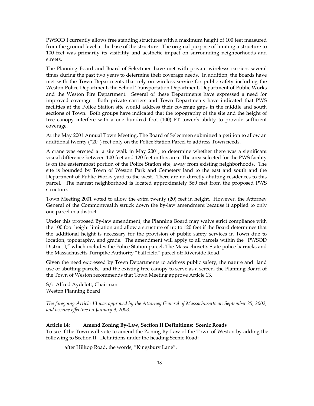PWSOD I currently allows free standing structures with a maximum height of 100 feet measured from the ground level at the base of the structure. The original purpose of limiting a structure to 100 feet was primarily its visibility and aesthetic impact on surrounding neighborhoods and streets.

The Planning Board and Board of Selectmen have met with private wirelesss carriers several times during the past two years to determine their coverage needs. In addition, the Boards have met with the Town Departments that rely on wireless service for public safety including the Weston Police Department, the School Transportation Department, Department of Public Works and the Weston Fire Department. Several of these Departments have expressed a need for improved coverage. Both private carriers and Town Departments have indicated that PWS facilities at the Police Station site would address their coverage gaps in the middle and south sections of Town. Both groups have indicated that the topography of the site and the height of tree canopy interfere with a one hundred foot (100) FT tower's ability to provide sufficient coverage.

At the May 2001 Annual Town Meeting, The Board of Selectmen submitted a petition to allow an additional twenty ("20") feet only on the Police Station Parcel to address Town needs.

A crane was erected at a site walk in May 2001, to determine whether there was a significant visual difference between 100 feet and 120 feet in this area. The area selected for the PWS facility is on the easternmost portion of the Police Station site, away from existing neighborhoods. The site is bounded by Town of Weston Park and Cemetery land to the east and south and the Department of Public Works yard to the west. There are no directly abutting residences to this parcel. The nearest neighborhood is located approximately 560 feet from the proposed PWS structure.

Town Meeting 2001 voted to allow the extra twenty (20) feet in height. However, the Attorney General of the Commonwealth struck down the by-law amendment because it applied to only one parcel in a district.

Under this proposed By-law amendment, the Planning Board may waive strict compliance with the 100 foot height limitation and allow a structure of up to 120 feet if the Board determines that the additional height is necessary for the provision of public safety services in Town due to location, topography, and grade. The amendment will apply to all parcels within the "PWSOD District I," which includes the Police Station parcel, The Massachusetts State police barracks and the Massachusetts Turnpike Authority "ball field" parcel off Riverside Road.

Given the need expressed by Town Departments to address public safety, the nature and land use of abutting parcels, and the existing tree canopy to serve as a screen, the Planning Board of the Town of Weston recommends that Town Meeting approve Article 13.

S/: Alfred Aydelott, Chairman Weston Planning Board

*The foregoing Article 13 was approved by the Attorney General of Massachusetts on September 25, 2002, and became effective on January 9, 2003.* 

# **Article 14: Amend Zoning By-Law, Section II Definitions: Scenic Roads**

To see if the Town will vote to amend the Zoning By-Law of the Town of Weston by adding the following to Section II. Definitions under the heading Scenic Road:

after Hilltop Road, the words, "Kingsbury Lane".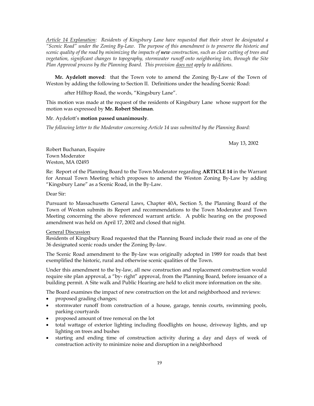*Article 14 Explanation: Residents of Kingsbury Lane have requested that their street be designated a "Scenic Road" under the Zoning By-Law. The purpose of this amendment is to preserve the historic and scenic quality of the road by minimizing the impacts of new construction, such as clear cutting of trees and vegetation, significant changes to topography, stormwater runoff onto neighboring lots, through the Site Plan Approval process by the Planning Board. This provision does not apply to additions.* 

**Mr. Aydelott moved**: that the Town vote to amend the Zoning By-Law of the Town of Weston by adding the following to Section II. Definitions under the heading Scenic Road:

after Hilltop Road, the words, "Kingsbury Lane".

This motion was made at the request of the residents of Kingsbury Lane whose support for the motion was expressed by **Mr. Robert Sheiman**.

# Mr. Aydelott's **motion passed unanimously**.

*The following letter to the Moderator concerning Article 14 was submitted by the Planning Board:* 

May 13, 2002

Robert Buchanan, Esquire Town Moderator Weston, MA 02493

Re: Report of the Planning Board to the Town Moderator regarding **ARTICLE 14** in the Warrant for Annual Town Meeting which proposes to amend the Weston Zoning By-Law by adding "Kingsbury Lane" as a Scenic Road, in the By-Law.

Dear Sir:

Pursuant to Massachusetts General Laws, Chapter 40A, Section 5, the Planning Board of the Town of Weston submits its Report and recommendations to the Town Moderator and Town Meeting concerning the above referenced warrant article. A public hearing on the proposed amendment was held on April 17, 2002 and closed that night.

#### General Discussion

Residents of Kingsbury Road requested that the Planning Board include their road as one of the 36 designated scenic roads under the Zoning By-law.

The Scenic Road amendment to the By-law was originally adopted in 1989 for roads that best exemplified the historic, rural and otherwise scenic qualities of the Town.

Under this amendment to the by-law, all new construction and replacement construction would require site plan approval, a "by- right" approval, from the Planning Board, before issuance of a building permit. A Site walk and Public Hearing are held to elicit more information on the site.

The Board examines the impact of new construction on the lot and neighborhood and reviews:

- proposed grading changes;
- stormwater runoff from construction of a house, garage, tennis courts, swimming pools, parking courtyards
- proposed amount of tree removal on the lot
- total wattage of exterior lighting including floodlights on house, driveway lights, and up lighting on trees and bushes
- starting and ending time of construction activity during a day and days of week of construction activity to minimize noise and disruption in a neighborhood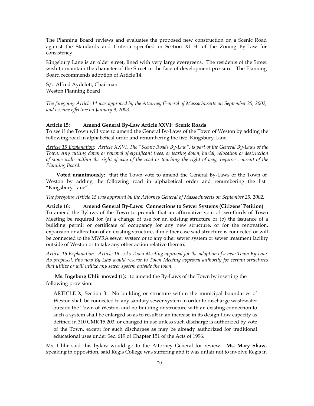The Planning Board reviews and evaluates the proposed new construction on a Scenic Road against the Standards and Criteria specified in Section XI H. of the Zoning By-Law for consistency.

Kingsbury Lane is an older street, lined with very large evergreens. The residents of the Street wish to maintain the character of the Street in the face of development pressure. The Planning Board recommends adoption of Article 14.

S/: Alfred Aydelott, Chairman Weston Planning Board

*The foregoing Article 14 was approved by the Attorney General of Massachusetts on September 25, 2002, and became effective on January 9, 2003.* 

### **Article 15: Amend General By-Law Article XXVI: Scenic Roads**

To see if the Town will vote to amend the General By-Laws of the Town of Weston by adding the following road in alphabetical order and renumbering the list: Kingsbury Lane.

*Article 15 Explanation: Article XXVI, The "Scenic Roads By-Law", is part of the General By-Laws of the Town. Any cutting down or removal of significant trees, or tearing down, burial, relocation or destruction of stone walls within the right of way of the road or touching the right of way, requires consent of the Planning Board.* 

**Voted unanimously:** that the Town vote to amend the General By-Laws of the Town of Weston by adding the following road in alphabetical order and renumbering the list: "Kingsbury Lane".

*The foregoing Article 15 was approved by the Attorney General of Massachusetts on September 25, 2002.* 

**Article 16: Amend General By-Laws: Connections to Sewer Systems (Citizens' Petition)**  To amend the Bylaws of the Town to provide that an affirmative vote of two-thirds of Town Meeting be required for (a) a change of use for an existing structure or (b) the issuance of a building permit or certificate of occupancy for any new structure, or for the renovation, expansion or alteration of an existing structure, if in either case said structure is connected or will be connected to the MWRA sewer system or to any other sewer system or sewer treatment facility outside of Weston or to take any other action relative thereto.

*Article 16 Explanation: Article 16 seeks Town Meeting approval for the adoption of a new Town By-Law. As proposed, this new By-Law would reserve to Town Meeting approval authority for certain structures that utilize or will utilize any sewer system outside the town.* 

**Ms. Ingeborg Uhlir moved (1):** to amend the By-Laws of the Town by inserting the following provision:

ARTICLE X, Section 3: No building or structure within the municipal boundaries of Weston shall be connected to any sanitary sewer system in order to discharge wastewater outside the Town of Weston, and no building or structure with an existing connection to such a system shall be enlarged so as to result in an increase in its design flow capacity as defined in 310 CMR 15.203, or changed in use unless such discharge is authorized by vote of the Town, except for such discharges as may be already authorized for traditional educational uses under Sec. 619 of Chapter 151 of the Acts of 1996.

Ms. Uhlir said this bylaw would go to the Attorney General for review. **Ms. Mary Shaw**, speaking in opposition, said Regis College was suffering and it was unfair not to involve Regis in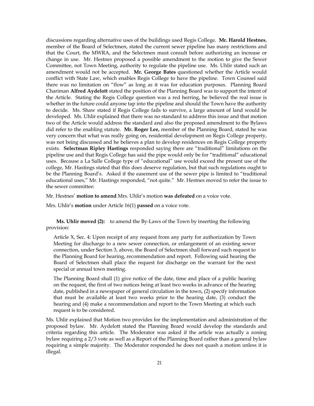discussions regarding alternative uses of the buildings used Regis College. **Mr. Harold Hestnes**, member of the Board of Selectmen, stated the current sewer pipeline has many restrictions and that the Court, the MWRA, and the Selectmen must consult before authorizing an increase or change in use. Mr. Hestnes proposed a possible amendment to the motion to give the Sewer Committee, not Town Meeting, authority to regulate the pipeline use. Ms. Uhlir stated such an amendment would not be accepted. **Mr. George Bates** questioned whether the Article would conflict with State Law, which enables Regis College to have the pipeline. Town Counsel said there was no limitation on "flow" as long as it was for education purposes. Planning Board Chariman **Alfred Aydelott** stated the position of the Planning Board was to support the intent of the Article. Stating the Regis College question was a red herring, he believed the real issue is whether in the future could anyone tap into the pipeline and should the Town have the authority to decide. Ms. Shaw stated if Regis College fails to survive, a large amount of land would be developed. Ms. Uhlir explained that there was no standard to address this issue and that motion two of the Article would address the standard and also the proposed amendment to the Bylaws did refer to the enabling statute. **Mr. Roger Lee,** member of the Planning Board, stated he was very concern that what was really going on, residential development on Regis College property, was not being discussed and he believes a plan to develop residences on Regis College property exists. **Selectman Ripley Hastings** responded saying there are "traditional" limitations on the pipeline use and that Regis College has said the pipe would only be for "traditional" educational uses. Because a La Salle College type of "educational" use would exceed the present use of the college, Mr. Hastings stated that this does deserve regulation, but that such regulations ought to be the Planning Board's. Asked if the easement use of the sewer pipe is limited to "traditional educational uses," Mr. Hastings responded, "not quite." Mr. Hestnes moved to refer the issue to the sewer committee:

Mr. Hestnes' **motion to amend** Mrs. Uhlir's motion **was defeated** on a voice vote.

Mrs. Uhlir's **motion** under Article 16(1) **passed** on a voice vote.

**Ms. Uhlir moved (2):** to amend the By-Laws of the Town by inserting the following provision:

Article X, Sec. 4: Upon receipt of any request from any party for authorization by Town Meeting for discharge to a new sewer connection, or enlargement of an existing sewer connection, under Section 3, above, the Board of Selectmen shall forward such request to the Planning Board for hearing, recommendation and report. Following said hearing the Board of Selectmen shall place the request for discharge on the warrant for the next special or annual town meeting.

The Planning Board shall (1) give notice of the date, time and place of a public hearing on the request, the first of two notices being at least two weeks in advance of the hearing date, published in a newspaper of general circulation in the town, (2) specify information that must be available at least two weeks prior to the hearing date, (3) conduct the hearing and (4) make a recommendation and report to the Town Meeting at which such request is to be considered.

Ms. Uhlir explained that Motion two provides for the implementation and administration of the proposed bylaw. Mr. Aydelott stated the Planning Board would develop the standards and criteria regarding this article. The Moderator was asked if the article was actually a zoning bylaw requiring a 2/3 vote as well as a Report of the Planning Board rather than a general bylaw requiring a simple majority. The Moderator responded he does not quash a motion unless it is illegal.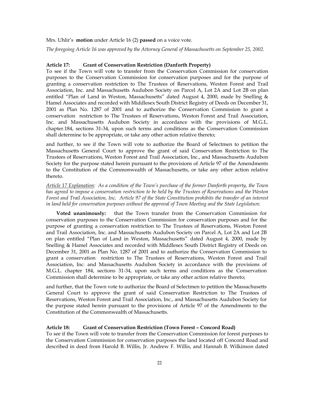#### Mrs. Uhlir's **motion** under Article 16 (2) **passed** on a voice vote.

*The foregoing Article 16 was approved by the Attorney General of Massachusetts on September 25, 2002.* 

# **Article 17: Grant of Conservation Restriction (Danforth Property)**

To see if the Town will vote to transfer from the Conservation Commission for conservation purposes to the Conservation Commission for conservation purposes and for the purpose of granting a conservation restriction to The Trustees of Reservations, Weston Forest and Trail Association, Inc. and Massachusetts Audubon Society on Parcel A, Lot 2A and Lot 2B on plan entitled "Plan of Land in Weston, Massachusetts" dated August 4, 2000, made by Snelling & Hamel Associates and recorded with Middlesex South District Registry of Deeds on December 31, 2001 as Plan No. 1287 of 2001 and to authorize the Conservation Commission to grant a conservation restriction to The Trustees of Reservations, Weston Forest and Trail Association, Inc. and Massachusetts Audubon Society in accordance with the provisions of M.G.L. chapter.184, sections 31-34, upon such terms and conditions as the Conservation Commission shall determine to be appropriate, or take any other action relative thereto;

and further, to see if the Town will vote to authorize the Board of Selectmen to petition the Massachusetts General Court to approve the grant of said Conservation Restriction to The Trustees of Reservations, Weston Forest and Trail Association, Inc., and Massachusetts Audubon Society for the purpose stated herein pursuant to the provisions of Article 97 of the Amendments to the Constitution of the Commonwealth of Massachusetts, or take any other action relative thereto.

*Article 17 Explanation: As a condition of the Town's purchase of the former Danforth property, the Town has agreed to impose a conservation restriction to be held by the Trustees of Reservations and the Weston Forest and Trail Association, Inc. Article 97 of the State Constitution prohibits the transfer of an interest*  in land held for conservation purposes without the approval of Town Meeting and the State Legislature.

**Voted unanimously:** that the Town transfer from the Conservation Commission for conservation purposes to the Conservation Commission for conservation purposes and for the purpose of granting a conservation restriction to The Trustees of Reservations, Weston Forest and Trail Association, Inc. and Massachusetts Audubon Society on Parcel A, Lot 2A and Lot 2B on plan entitled "Plan of Land in Weston, Massachusetts" dated August 4, 2000, made by Snelling & Hamel Associates and recorded with Middlesex South District Registry of Deeds on December 31, 2001 as Plan No. 1287 of 2001 and to authorize the Conservation Commission to grant a conservation restriction to The Trustees of Reservations, Weston Forest and Trail Association, Inc. and Massachusetts Audubon Society in accordance with the provisions of M.G.L. chapter 184, sections 31-34, upon such terms and conditions as the Conservation Commission shall determine to be appropriate, or take any other action relative thereto;

and further, that the Town vote to authorize the Board of Selectmen to petition the Massachusetts General Court to approve the grant of said Conservation Restriction to The Trustees of Reservations, Weston Forest and Trail Association, Inc., and Massachusetts Audubon Society for the purpose stated herein pursuant to the provisions of Article 97 of the Amendments to the Constitution of the Commonwealth of Massachusetts.

#### **Article 18: Grant of Conservation Restriction (Town Forest – Concord Road)**

To see if the Town will vote to transfer from the Conservation Commission for forest purposes to the Conservation Commission for conservation purposes the land located off Concord Road and described in deed from Harold B. Willis, Jr. Andrew F. Willis, and Hannah B. Wilkinson dated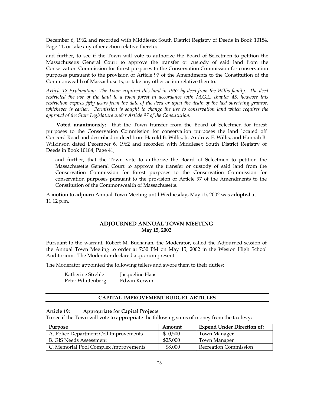December 6, 1962 and recorded with Middlesex South District Registry of Deeds in Book 10184, Page 41, or take any other action relative thereto;

and further, to see if the Town will vote to authorize the Board of Selectmen to petition the Massachusetts General Court to approve the transfer or custody of said land from the Conservation Commission for forest purposes to the Conservation Commission for conservation purposes pursuant to the provision of Article 97 of the Amendments to the Constitution of the Commonwealth of Massachusetts, or take any other action relative thereto.

*Article 18 Explanation: The Town acquired this land in 1962 by deed from the Willis family. The deed restricted the use of the land to a town forest in accordance with M.G.L. chapter 45, however this restriction expires fifty years from the date of the deed or upon the death of the last surviving grantor, whichever is earlier. Permission is sought to change the use to conservation land which requires the approval of the State Legislature under Article 97 of the Constitution.* 

 **Voted unanimously:** that the Town transfer from the Board of Selectmen for forest purposes to the Conservation Commission for conservation purposes the land located off Concord Road and described in deed from Harold B. Willis, Jr. Andrew F. Willis, and Hannah B. Wilkinson dated December 6, 1962 and recorded with Middlesex South District Registry of Deeds in Book 10184, Page 41;

and further, that the Town vote to authorize the Board of Selectmen to petition the Massachusetts General Court to approve the transfer or custody of said land from the Conservation Commission for forest purposes to the Conservation Commission for conservation purposes pursuant to the provision of Article 97 of the Amendments to the Constitution of the Commonwealth of Massachusetts.

A **motion to adjourn** Annual Town Meeting until Wednesday, May 15, 2002 was **adopted** at 11:12 p.m.

# **ADJOURNED ANNUAL TOWN MEETING May 15, 2002**

Pursuant to the warrant, Robert M. Buchanan, the Moderator, called the Adjourned session of the Annual Town Meeting to order at 7:30 PM on May 15, 2002 in the Weston High School Auditorium. The Moderator declared a quorum present.

The Moderator appointed the following tellers and swore them to their duties:

| Katherine Strehle | Jacqueline Haas |
|-------------------|-----------------|
| Peter Whittenberg | Edwin Kerwin    |

# **CAPITAL IMPROVEMENT BUDGET ARTICLES**

#### **Article 19: Appropriate for Capital Projects**

To see if the Town will vote to appropriate the following sums of money from the tax levy;

| Purpose                                | Amount   | <b>Expend Under Direction of:</b> |
|----------------------------------------|----------|-----------------------------------|
| A. Police Department Cell Improvements | \$10,500 | Town Manager                      |
| <b>B. GIS Needs Assessment</b>         | \$25,000 | Town Manager                      |
| C. Memorial Pool Complex Improvements  | \$8,000  | <b>Recreation Commission</b>      |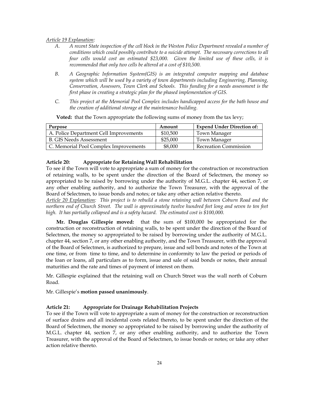*Article 19 Explanation:* 

- *A. A recent State inspection of the cell block in the Weston Police Department revealed a number of conditions which could possibly contribute to a suicide attempt. The necessary corrections to all four cells would cost an estimated \$23,000. Given the limited use of these cells, it is recommended that only two cells be altered at a cost of \$10,500.*
- *B. A Geographic Information System(GIS) is an integrated computer mapping and database system which will be used by a variety of town departments including Engineering, Planning, Conservation, Assessors, Town Clerk and Schools. This funding for a needs assessment is the first phase in creating a strategic plan for the phased implementation of GIS.*
- *C. This project at the Memorial Pool Complex includes handicapped access for the bath house and the creation of additional storage at the maintenance building.*

| Purpose                                | Amount   | <b>Expend Under Direction of:</b> |
|----------------------------------------|----------|-----------------------------------|
| A. Police Department Cell Improvements | \$10,500 | Town Manager                      |
| <b>B.</b> GIS Needs Assessment         | \$25,000 | Town Manager                      |
| C. Memorial Pool Complex Improvements  | \$8,000  | <b>Recreation Commission</b>      |

 **Voted:** that the Town appropriate the following sums of money from the tax levy;

#### **Article 20: Appropriate for Retaining Wall Rehabilitation**

To see if the Town will vote to appropriate a sum of money for the construction or reconstruction of retaining walls, to be spent under the direction of the Board of Selectmen, the money so appropriated to be raised by borrowing under the authority of M.G.L. chapter 44, section 7, or any other enabling authority, and to authorize the Town Treasurer, with the approval of the Board of Selectmen, to issue bonds and notes; or take any other action relative thereto.

*Article 20 Explanation: This project is to rebuild a stone retaining wall between Coburn Road and the northern end of Church Street. The wall is approximately twelve hundred feet long and seven to ten feet*  high. It has partially collapsed and is a safety hazard. The estimated cost is \$100,000.

**Mr. Douglas Gillespie moved:** that the sum of \$100,000 be appropriated for the construction or reconstruction of retaining walls, to be spent under the direction of the Board of Selectmen, the money so appropriated to be raised by borrowing under the authority of M.G.L. chapter 44, section 7, or any other enabling authority, and the Town Treasurer, with the approval of the Board of Selectmen, is authorized to prepare, issue and sell bonds and notes of the Town at one time, or from time to time, and to determine in conformity to law the period or periods of the loan or loans, all particulars as to form, issue and sale of said bonds or notes, their annual maturities and the rate and times of payment of interest on them.

Mr. Gillespie explained that the retaining wall on Church Street was the wall north of Coburn Road.

Mr. Gillespie's **motion passed unanimously**.

# **Article 21: Appropriate for Drainage Rehabilitation Projects**

To see if the Town will vote to appropriate a sum of money for the construction or reconstruction of surface drains and all incidental costs related thereto, to be spent under the direction of the Board of Selectmen, the money so appropriated to be raised by borrowing under the authority of M.G.L. chapter 44, section 7, or any other enabling authority, and to authorize the Town Treasurer, with the approval of the Board of Selectmen, to issue bonds or notes; or take any other action relative thereto.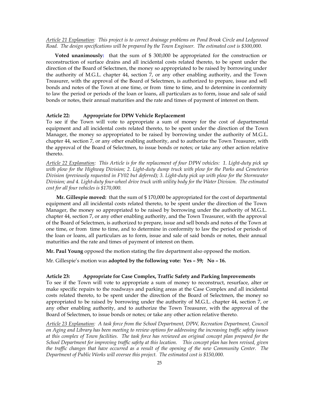*Article 21 Explanation: This project is to correct drainage problems on Pond Brook Circle and Ledgewood Road. The design specifications will be prepared by the Town Engineer. The estimated cost is \$300,000.* 

**Voted unanimously:** that the sum of \$ 300,000 be appropriated for the construction or reconstruction of surface drains and all incidental costs related thereto, to be spent under the direction of the Board of Selectmen, the money so appropriated to be raised by borrowing under the authority of M.G.L. chapter 44, section 7, or any other enabling authority, and the Town Treasurer, with the approval of the Board of Selectmen, is authorized to prepare, issue and sell bonds and notes of the Town at one time, or from time to time, and to determine in conformity to law the period or periods of the loan or loans, all particulars as to form, issue and sale of said bonds or notes, their annual maturities and the rate and times of payment of interest on them.

# **Article 22: Appropriate for DPW Vehicle Replacement**

To see if the Town will vote to appropriate a sum of money for the cost of departmental equipment and all incidental costs related thereto, to be spent under the direction of the Town Manager, the money so appropriated to be raised by borrowing under the authority of M.G.L. chapter 44, section 7, or any other enabling authority, and to authorize the Town Treasurer, with the approval of the Board of Selectmen, to issue bonds or notes; or take any other action relative thereto.

*Article 22 Explanation: This Article is for the replacement of four DPW vehicles: 1. Light-duty pick up*  with plow for the Highway Division; 2. Light-duty dump truck with plow for the Parks and Cemeteries *Division (previously requested in FY02 but deferred); 3. Light-duty pick up with plow for the Stormwater Division; and 4. Light-duty four-wheel drive truck with utility body for the Water Division. The estimated cost for all four vehicles is \$170,000.* 

**Mr. Gillespie moved:** that the sum of \$ 170,000 be appropriated for the cost of departmental equipment and all incidental costs related thereto, to be spent under the direction of the Town Manager, the money so appropriated to be raised by borrowing under the authority of M.G.L. chapter 44, section 7, or any other enabling authority, and the Town Treasurer, with the approval of the Board of Selectmen, is authorized to prepare, issue and sell bonds and notes of the Town at one time, or from time to time, and to determine in conformity to law the period or periods of the loan or loans, all particulars as to form, issue and sale of said bonds or notes, their annual maturities and the rate and times of payment of interest on them.

**Mr. Paul Young** opposed the motion stating the fire department also opposed the motion.

Mr. Gillespie's motion was **adopted by the following vote: Yes – 59; No – 16.**

# **Article 23: Appropriate for Case Complex, Traffic Safety and Parking Improvements**

To see if the Town will vote to appropriate a sum of money to reconstruct, resurface, alter or make specific repairs to the roadways and parking areas at the Case Complex and all incidental costs related thereto, to be spent under the direction of the Board of Selectmen, the money so appropriated to be raised by borrowing under the authority of M.G.L. chapter 44, section 7, or any other enabling authority, and to authorize the Town Treasurer, with the approval of the Board of Selectmen, to issue bonds or notes; or take any other action relative thereto.

*Article 23 Explanation: A task force from the School Department, DPW, Recreation Department, Council on Aging and Library has been meeting to review options for addressing the increasing traffic safety issues at this complex of Town facilities. The task force has reviewed an original concept plan prepared for the School Department for improving traffic safety at this location. This concept plan has been revised, given the traffic changes that have occurred as a result of the opening of the new Community Center. The Department of Public Works will oversee this project. The estimated cost is \$150,000.*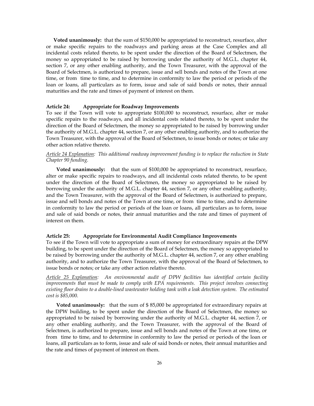**Voted unanimously:** that the sum of \$150,000 be appropriated to reconstruct, resurface, alter or make specific repairs to the roadways and parking areas at the Case Complex and all incidental costs related thereto, to be spent under the direction of the Board of Selectmen, the money so appropriated to be raised by borrowing under the authority of M.G.L. chapter 44, section 7, or any other enabling authority, and the Town Treasurer, with the approval of the Board of Selectmen, is authorized to prepare, issue and sell bonds and notes of the Town at one time, or from time to time, and to determine in conformity to law the period or periods of the loan or loans, all particulars as to form, issue and sale of said bonds or notes, their annual maturities and the rate and times of payment of interest on them.

#### **Article 24: Appropriate for Roadway Improvements**

To see if the Town will vote to appropriate \$100,000 to reconstruct, resurface, alter or make specific repairs to the roadways, and all incidental costs related thereto, to be spent under the direction of the Board of Selectmen, the money so appropriated to be raised by borrowing under the authority of M.G.L. chapter 44, section 7, or any other enabling authority, and to authorize the Town Treasurer, with the approval of the Board of Selectmen, to issue bonds or notes; or take any other action relative thereto.

# *Article 24 Explanation: This additional roadway improvement funding is to replace the reduction in State Chapter 90 funding.*

**Voted unanimously:** that the sum of \$100,000 be appropriated to reconstruct, resurface, alter or make specific repairs to roadways, and all incidental costs related thereto, to be spent under the direction of the Board of Selectmen, the money so appropriated to be raised by borrowing under the authority of M.G.L. chapter 44, section 7, or any other enabling authority, and the Town Treasurer, with the approval of the Board of Selectmen, is authorized to prepare, issue and sell bonds and notes of the Town at one time, or from time to time, and to determine in conformity to law the period or periods of the loan or loans, all particulars as to form, issue and sale of said bonds or notes, their annual maturities and the rate and times of payment of interest on them.

#### **Article 25: Appropriate for Environmental Audit Compliance Improvements**

To see if the Town will vote to appropriate a sum of money for extraordinary repairs at the DPW building, to be spent under the direction of the Board of Selectmen, the money so appropriated to be raised by borrowing under the authority of M.G.L. chapter 44, section 7, or any other enabling authority, and to authorize the Town Treasurer, with the approval of the Board of Selectmen, to issue bonds or notes; or take any other action relative thereto.

*Article 25 Explanation: An environmental audit of DPW facilities has identified certain facility improvements that must be made to comply with EPA requirements. This project involves connecting existing floor drains to a double-lined wastewater holding tank with a leak detection system. The estimated cost is \$85,000.*

**Voted unanimously:** that the sum of \$ 85,000 be appropriated for extraordinary repairs at the DPW building, to be spent under the direction of the Board of Selectmen, the money so appropriated to be raised by borrowing under the authority of M.G.L. chapter 44, section 7, or any other enabling authority, and the Town Treasurer, with the approval of the Board of Selectmen, is authorized to prepare, issue and sell bonds and notes of the Town at one time, or from time to time, and to determine in conformity to law the period or periods of the loan or loans, all particulars as to form, issue and sale of said bonds or notes, their annual maturities and the rate and times of payment of interest on them.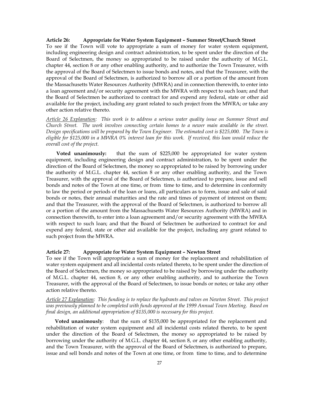# **Article 26: Appropriate for Water System Equipment – Summer Street/Church Street**

To see if the Town will vote to appropriate a sum of money for water system equipment, including engineering design and contract administration, to be spent under the direction of the Board of Selectmen, the money so appropriated to be raised under the authority of M.G.L. chapter 44, section 8 or any other enabling authority, and to authorize the Town Treasurer, with the approval of the Board of Selectmen to issue bonds and notes, and that the Treasurer, with the approval of the Board of Selectmen, is authorized to borrow all or a portion of the amount from the Massachusetts Water Resources Authority (MWRA) and in connection therewith, to enter into a loan agreement and/or security agreement with the MWRA with respect to such loan; and that the Board of Selectmen be authorized to contract for and expend any federal, state or other aid available for the project, including any grant related to such project from the MWRA; or take any other action relative thereto.

*Article 26 Explanation: This work is to address a serious water quality issue on Summer Street and Church Street. The work involves connecting certain homes to a newer main available in the street. Design specifications will be prepared by the Town Engineer. The estimated cost is \$225,000. The Town is eligible for \$125,000 in a MWRA 0% interest loan for this work. If received, this loan would reduce the overall cost of the project.* 

**Voted unanimously:** that the sum of \$225,000 be appropriated for water system equipment, including engineering design and contract administration, to be spent under the direction of the Board of Selectmen, the money so appropriated to be raised by borrowing under the authority of M.G.L. chapter 44, section 8 or any other enabling authority, and the Town Treasurer, with the approval of the Board of Selectmen, is authorized to prepare, issue and sell bonds and notes of the Town at one time, or from time to time, and to determine in conformity to law the period or periods of the loan or loans, all particulars as to form, issue and sale of said bonds or notes, their annual maturities and the rate and times of payment of interest on them; and that the Treasurer, with the approval of the Board of Selectmen, is authorized to borrow all or a portion of the amount from the Massachusetts Water Resources Authority (MWRA) and in connection therewith, to enter into a loan agreement and/or security agreement with the MWRA with respect to such loan; and that the Board of Selectmen be authorized to contract for and expend any federal, state or other aid available for the project, including any grant related to such project from the MWRA.

# **Article 27: Appropriate for Water System Equipment – Newton Street**

To see if the Town will appropriate a sum of money for the replacement and rehabilitation of water system equipment and all incidental costs related thereto, to be spent under the direction of the Board of Selectmen, the money so appropriated to be raised by borrowing under the authority of M.G.L. chapter 44, section 8, or any other enabling authority, and to authorize the Town Treasurer, with the approval of the Board of Selectmen, to issue bonds or notes; or take any other action relative thereto.

*Article 27 Explanation: This funding is to replace the hydrants and valves on Newton Street*. *This project was previously planned to be completed with funds approved at the 1999 Annual Town Meeting. Based on final design, an additional appropriation of \$135,000 is necessary for this project.* 

**Voted unanimously**: that the sum of \$135,000 be appropriated for the replacement and rehabilitation of water system equipment and all incidental costs related thereto, to be spent under the direction of the Board of Selectmen, the money so appropriated to be raised by borrowing under the authority of M.G.L. chapter 44, section 8, or any other enabling authority, and the Town Treasurer, with the approval of the Board of Selectmen, is authorized to prepare, issue and sell bonds and notes of the Town at one time, or from time to time, and to determine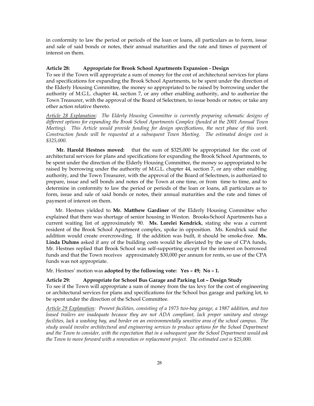in conformity to law the period or periods of the loan or loans, all particulars as to form, issue and sale of said bonds or notes, their annual maturities and the rate and times of payment of interest on them.

# **Article 28: Appropriate for Brook School Apartments Expansion - Design**

To see if the Town will appropriate a sum of money for the cost of architectural services for plans and specifications for expanding the Brook School Apartments, to be spent under the direction of the Elderly Housing Committee, the money so appropriated to be raised by borrowing under the authority of M.G.L. chapter 44, section 7, or any other enabling authority, and to authorize the Town Treasurer, with the approval of the Board of Selectmen, to issue bonds or notes; or take any other action relative thereto.

*Article 28 Explanation: The Elderly Housing Committee is currently preparing schematic designs of different options for expanding the Brook School Apartments Complex (funded at the 2001 Annual Town Meeting). This Article would provide funding for design specifications, the next phase of this work. Construction funds will be requested at a subsequent Town Meeting. The estimated design cost is \$325,000.*

**Mr. Harold Hestnes moved:** that the sum of \$325,000 be appropriated for the cost of architectural services for plans and specifications for expanding the Brook School Apartments, to be spent under the direction of the Elderly Housing Committee, the money so appropriated to be raised by borrowing under the authority of M.G.L. chapter 44, section 7, or any other enabling authority, and the Town Treasurer, with the approval of the Board of Selectmen, is authorized to prepare, issue and sell bonds and notes of the Town at one time, or from time to time, and to determine in conformity to law the period or periods of the loan or loans, all particulars as to form, issue and sale of said bonds or notes, their annual maturities and the rate and times of payment of interest on them.

Mr. Hestnes yielded to **Mr. Matthew Gardiner** of the Elderly Housing Committee who explained that there was shortage of senior housing in Weston. Brooks-School Apartments has a current waiting list of approximately 90. **Ms. Lorelei Kendrick**, stating she was a current resident of the Brook School Apartment complex, spoke in opposition. Ms. Kendrick said the addition would create overcrowding. If the addition was built, it should be smoke-free. **Ms. Linda Duhms** asked if any of the building costs would be alleviated by the use of CPA funds, Mr. Hestnes replied that Brook School was self-supporting except for the interest on borrowed funds and that the Town receives approximately \$30,000 per annum for rents, so use of the CPA funds was not appropriate.

Mr. Hestnes' motion was **adopted by the following vote: Yes – 49; No – 1.** 

#### **Article 29: Appropriate for School Bus Garage and Parking Lot – Design Study**

To see if the Town will appropriate a sum of money from the tax levy for the cost of engineering or architectural services for plans and specifications for the School bus garage and parking lot, to be spent under the direction of the School Committee.

*Article 29 Explanation: Present facilities, consisting of a 1973 two-bay garage, a 1987 addition, and two leased trailers are inadequate because they are not ADA compliant, lack proper sanitary and storage facilities, lack a washing bay, and border on an environmentally sensitive area of the school campus. The study would involve architectural and engineering services to produce options for the School Department and the Town to consider, with the expectation that in a subsequent year the School Department would ask the Town to move forward with a renovation or replacement project. The estimated cost is \$25,000.*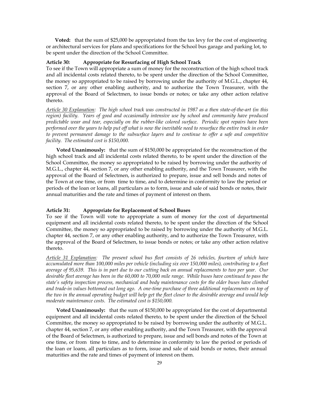**Voted:** that the sum of \$25,000 be appropriated from the tax levy for the cost of engineering or architectural services for plans and specifications for the School bus garage and parking lot, to be spent under the direction of the School Committee.

#### **Article 30: Appropriate for Resurfacing of High School Track**

To see if the Town will appropriate a sum of money for the reconstruction of the high school track and all incidental costs related thereto, to be spent under the direction of the School Committee, the money so appropriated to be raised by borrowing under the authority of M.G.L., chapter 44, section 7, or any other enabling authority, and to authorize the Town Treasurer, with the approval of the Board of Selectmen, to issue bonds or notes; or take any other action relative thereto.

*Article 30 Explanation: The high school track was constructed in 1987 as a then state-of-the-art (in this region) facility. Years of good and occasionally intensive use by school and community have produced predictable wear and tear, especially on the rubber-like colored surface. Periodic spot repairs have been performed over the years to help put off what is now the inevitable need to resurface the entire track in order to prevent permanent damage to the subsurface layers and to continue to offer a safe and competitive facility. The estimated cost is \$150,000.* 

**Voted Unanimously:** that the sum of \$150,000 be appropriated for the reconstruction of the high school track and all incidental costs related thereto, to be spent under the direction of the School Committee, the money so appropriated to be raised by borrowing under the authority of M.G.L., chapter 44, section 7, or any other enabling authority, and the Town Treasurer, with the approval of the Board of Selectmen, is authorized to prepare, issue and sell bonds and notes of the Town at one time, or from time to time, and to determine in conformity to law the period or periods of the loan or loans, all particulars as to form, issue and sale of said bonds or notes, their annual maturities and the rate and times of payment of interest on them.

#### **Article 31: Appropriate for Replacement of School Buses**

To see if the Town will vote to appropriate a sum of money for the cost of departmental equipment and all incidental costs related thereto, to be spent under the direction of the School Committee, the money so appropriated to be raised by borrowing under the authority of M.G.L. chapter 44, section 7, or any other enabling authority, and to authorize the Town Treasurer, with the approval of the Board of Selectmen, to issue bonds or notes; or take any other action relative thereto.

*Article 31 Explanation: The present school bus fleet consists of 26 vehicles, fourteen of which have accumulated more than 100,000 miles per vehicle (including six over 150,000 miles), contributing to a fleet average of 95,639. This is in part due to our cutting back on annual replacements to two per year. Our desirable fleet average has been in the 60,000 to 70,000 mile range. While buses have continued to pass the state's safety inspection process, mechanical and body maintenance costs for the older buses have climbed and trade-in values bottomed out long ago. A one-time purchase of three additional replacements on top of the two in the annual operating budget will help get the fleet closer to the desirable average and would help moderate maintenance costs. The estimated cost is \$150,000.* 

**Voted Unanimously:** that the sum of \$150,000 be appropriated for the cost of departmental equipment and all incidental costs related thereto, to be spent under the direction of the School Committee, the money so appropriated to be raised by borrowing under the authority of M.G.L. chapter 44, section 7, or any other enabling authority, and the Town Treasurer, with the approval of the Board of Selectmen, is authorized to prepare, issue and sell bonds and notes of the Town at one time, or from time to time, and to determine in conformity to law the period or periods of the loan or loans, all particulars as to form, issue and sale of said bonds or notes, their annual maturities and the rate and times of payment of interest on them.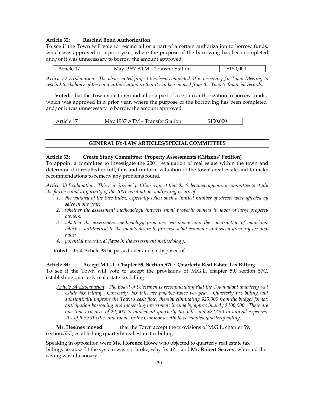# **Article 32: Rescind Bond Authorization**

To see if the Town will vote to rescind all or a part of a certain authorization to borrow funds, which was approved in a prior year, where the purpose of the borrowing has been completed and/or it was unnecessary to borrow the amount approved:

| Article 17 | May 1987 ATM – Transfer Station | \$150,000 |
|------------|---------------------------------|-----------|
|------------|---------------------------------|-----------|

*Article 32 Explanation*: *The above noted project has been completed. It is necessary for Town Meeting to rescind the balance of the bond authorization so that it can be removed from the Town's financial records.* 

**Voted:** that the Town vote to rescind all or a part of a certain authorization to borrow funds, which was approved in a prior year, where the purpose of the borrowing has been completed and/or it was unnecessary to borrow the amount approved:

#### **GENERAL BY-LAW ARTICLES/SPECIAL COMMITTEES**

#### **Article 33: Create Study Committee: Property Assessments (Citizens' Petition)**

To appoint a committee to investigate the 2001 revaluation of real estate within the town and determine if it resulted in full, fair, and uniform valuation of the town's real estate and to make recommendations to remedy any problems found.

*Article 33 Explanation*: *This is a citizens' petition request that the Selectmen appoint a committee to study the fairness and uniformity of the 2001 revaluation, addressing issues of:* 

- *1. the validity of the Site Index, especially when such a limited number of streets were affected by sales in one year;*
- *2. whether the assessment methodology impacts small property owners in favor of large property owners;*
- *3. whether the assessment methodology promotes tear-downs and the construction of mansions, which is antithetical to the town's desire to preserve what economic and social diversity we now have;*
- *4. potential procedural flaws in the assessment methodology.*

 **Voted:** that Article 33 be passed over and so disposed of.

**Article 34: Accept M.G.L. Chapter 59, Section 57C: Quarterly Real Estate Tax Billing**  To see if the Town will vote to accept the provisions of M.G.L. chapter 59, section 57C, establishing quarterly real estate tax billing.

*Article 34 Explanation*: *The Board of Selectmen is recommending that the Town adopt quarterly real estate tax billing. Currently, tax bills are payable twice per year. Quarterly tax billing will substantially improve the Town's cash flow, thereby eliminating \$25,000 from the budget for tax anticipation borrowing and increasing investment income by approximately \$100,000. There are one-time expenses of \$4,000 to implement quarterly tax bills and \$22,450 in annual expenses. 201 of the 351 cities and towns in the Commonwealth have adopted quarterly billing.* 

**Mr. Hestnes moved**: that the Town accept the provisions of M.G.L. chapter 59, section 57C, establishing quarterly real estate tax billing.

Speaking in opposition were **Ms. Florence Howe** who objected to quarterly real estate tax billings because "if the system was not broke, why fix it? -- and **Mr. Robert Seavey**, who said the saving was illusionary.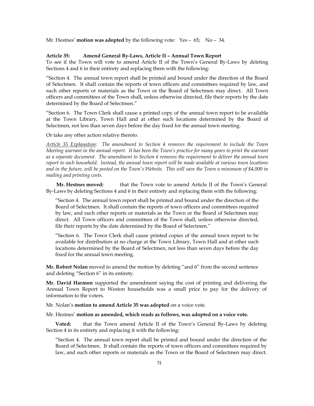Mr. Hestnes' **motion was adopted** by the following vote: Yes – 65; No – 34.

# **Article 35: Amend General By-Laws, Article II – Annual Town Report**

To see if the Town will vote to amend Article II of the Town's General By-Laws by deleting Sections 4 and 6 in their entirety and replacing them with the following:

"Section 4. The annual town report shall be printed and bound under the direction of the Board of Selectmen. It shall contain the reports of town officers and committees required by law, and such other reports or materials as the Town or the Board of Selectmen may direct. All Town officers and committees of the Town shall, unless otherwise directed, file their reports by the date determined by the Board of Selectmen."

"Section 6. The Town Clerk shall cause a printed copy of the annual town report to be available at the Town Library, Town Hall and at other such locations determined by the Board of Selectmen, not less than seven days before the day fixed for the annual town meeting.

Or take any other action relative thereto.

*Article 35 Explanation: The amendment to Section 4 removes the requirement to include the Town Meeting warrant in the annual report. It has been the Town's practice for many years to print the warrant as a separate document. The amendment to Section 6 removes the requirement to deliver the annual town report to each household. Instead, the annual town report will be made available at various town locations and in the future, will be posted on the Town's Website. This will save the Town a minimum of \$4,000 in mailing and printing costs.* 

**Mr. Hestnes moved:** that the Town vote to amend Article II of the Town's General By-Laws by deleting Sections 4 and 6 in their entirety and replacing them with the following:

"Section 4. The annual town report shall be printed and bound under the direction of the Board of Selectmen. It shall contain the reports of town officers and committees required by law, and such other reports or materials as the Town or the Board of Selectmen may direct. All Town officers and committees of the Town shall, unless otherwise directed, file their reports by the date determined by the Board of Selectmen."

"Section 6. The Town Clerk shall cause printed copies of the annual town report to be available for distribution at no charge at the Town Library, Town Hall and at other such locations determined by the Board of Selectmen, not less than seven days before the day fixed for the annual town meeting.

**Mr. Robert Nolan** moved to amend the motion by deleting "and 6" from the second sentence and deleting "Section 6" in its entirety.

**Mr. David Harmon** supported the amendment saying the cost of printing and delivering the Annual Town Report to Weston households was a small price to pay for the delivery of information to the voters.

Mr. Nolan's **motion to amend Article 35 was adopted** on a voice vote.

Mr. Hestnes' **motion as amended, which reads as follows, was adopted on a voice vote.** 

**Voted:** that the Town amend Article II of the Town's General By-Laws by deleting Section 4 in its entirety and replacing it with the following:

"Section 4. The annual town report shall be printed and bound under the direction of the Board of Selectmen. It shall contain the reports of town officers and committees required by law, and such other reports or materials as the Town or the Board of Selectmen may direct.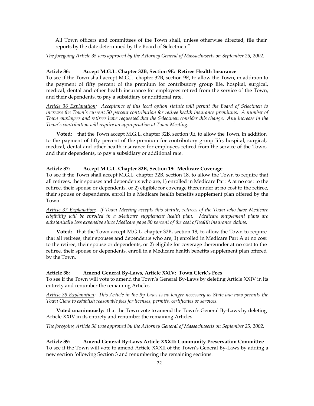All Town officers and committees of the Town shall, unless otherwise directed, file their reports by the date determined by the Board of Selectmen."

*The foregoing Article 35 was approved by the Attorney General of Massachusetts on September 25, 2002.* 

#### **Article 36: Accept M.G.L. Chapter 32B, Section 9E: Retiree Health Insurance**

To see if the Town shall accept M.G.L. chapter 32B, section 9E, to allow the Town, in addition to the payment of fifty percent of the premium for contributory group life, hospital, surgical, medical, dental and other health insurance for employees retired from the service of the Town, and their dependents, to pay a subsidiary or additional rate.

*Article 36 Explanation: Acceptance of this local option statute will permit the Board of Selectmen to increase the Town's current 50 percent contribution for retiree health insurance premiums. A number of Town employees and retirees have requested that the Selectmen consider this change. Any increase in the Town's contribution will require an appropriation at Town Meeting.*

**Voted:** that the Town accept M.G.L. chapter 32B, section 9E, to allow the Town, in addition to the payment of fifty percent of the premium for contributory group life, hospital, surgical, medical, dental and other health insurance for employees retired from the service of the Town, and their dependents, to pay a subsidiary or additional rate.

# **Article 37: Accept M.G.L. Chapter 32B, Section 18: Medicare Coverage**

To see if the Town shall accept M.G.L. chapter 32B, section 18, to allow the Town to require that all retirees, their spouses and dependents who are, 1) enrolled in Medicare Part A at no cost to the retiree, their spouse or dependents, or 2) eligible for coverage thereunder at no cost to the retiree, their spouse or dependents, enroll in a Medicare health benefits supplement plan offered by the Town.

*Article 37 Explanation*: *If Town Meeting accepts this statute, retirees of the Town who have Medicare eligibility will be enrolled in a Medicare supplement health plan. Medicare supplement plans are substantially less expensive since Medicare pays 80 percent of the cost of health insurance claims.* 

**Voted:** that the Town accept M.G.L. chapter 32B, section 18, to allow the Town to require that all retirees, their spouses and dependents who are, 1) enrolled in Medicare Part A at no cost to the retiree, their spouse or dependents, or 2) eligible for coverage thereunder at no cost to the retiree, their spouse or dependents, enroll in a Medicare health benefits supplement plan offered by the Town.

# **Article 38: Amend General By-Laws, Article XXIV: Town Clerk's Fees**

To see if the Town will vote to amend the Town's General By-Laws by deleting Article XXIV in its entirety and renumber the remaining Articles.

*Article 38 Explanation: This Article in the By-Laws is no longer necessary as State law now permits the Town Clerk to establish reasonable fees for licenses, permits, certificates or services.* 

**Voted unanimously:** that the Town vote to amend the Town's General By-Laws by deleting Article XXIV in its entirety and renumber the remaining Articles.

*The foregoing Article 38 was approved by the Attorney General of Massachusetts on September 25, 2002.* 

**Article 39: Amend General By-Laws Article XXXII: Community Preservation Committee**  To see if the Town will vote to amend Article XXXII of the Town's General By-Laws by adding a new section following Section 3 and renumbering the remaining sections.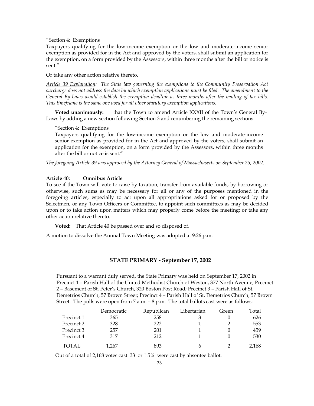"Section 4: Exemptions

Taxpayers qualifying for the low-income exemption or the low and moderate-income senior exemption as provided for in the Act and approved by the voters, shall submit an application for the exemption, on a form provided by the Assessors, within three months after the bill or notice is sent."

Or take any other action relative thereto.

*Article 39 Explanation: The State law governing the exemptions to the Community Preservation Act surcharge does not address the date by which exemption applications must be filed. The amendment to the General By-Laws would establish the exemption deadline as three months after the mailing of tax bills. This timeframe is the same one used for all other statutory exemption applications.* 

**Voted unanimously:** that the Town to amend Article XXXII of the Town's General By-Laws by adding a new section following Section 3 and renumbering the remaining sections.

"Section 4: Exemptions

Taxpayers qualifying for the low-income exemption or the low and moderate-income senior exemption as provided for in the Act and approved by the voters, shall submit an application for the exemption, on a form provided by the Assessors, within three months after the bill or notice is sent."

*The foregoing Article 39 was approved by the Attorney General of Massachusetts on September 25, 2002.* 

# **Article 40: Omnibus Article**

To see if the Town will vote to raise by taxation, transfer from available funds, by borrowing or otherwise, such sums as may be necessary for all or any of the purposes mentioned in the foregoing articles, especially to act upon all appropriations asked for or proposed by the Selectmen, or any Town Officers or Committee, to appoint such committees as may be decided upon or to take action upon matters which may properly come before the meeting; or take any other action relative thereto.

**Voted:** That Article 40 be passed over and so disposed of.

A motion to dissolve the Annual Town Meeting was adopted at 9:26 p.m.

# **STATE PRIMARY - September 17, 2002**

Pursuant to a warrant duly served, the State Primary was held on September 17, 2002 in Precinct 1 – Parish Hall of the United Methodist Church of Weston, 377 North Avenue; Precinct 2 – Basement of St. Peter's Church, 320 Boston Post Road; Precinct 3 – Parish Hall of St. Demetrios Church, 57 Brown Street; Precinct 4 – Parish Hall of St. Demetrios Church, 57 Brown Street. The polls were open from 7 a.m. – 8 p.m. The total ballots cast were as follows:

|            | Democratic | Republican | Libertarian | Green | Total |
|------------|------------|------------|-------------|-------|-------|
| Precinct 1 | 365        | 258        |             |       | 626   |
| Precinct 2 | 328        | 222        |             |       | 553   |
| Precinct 3 | 257        | 201        |             |       | 459   |
| Precinct 4 | 317        | 212        |             |       | 530   |
| TOTAL      | 1,267      | 893        |             |       | 2,168 |

Out of a total of 2,168 votes cast 33 or 1.5% were cast by absentee ballot.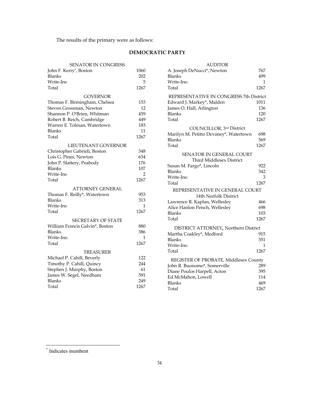The results of the primary were as follows:

# **DEMOCRATIC PARTY**

| REPRESENTATIVE IN CONGRESS 7th D<br>COUNCILLOR, 3rd District<br>Marilyn M. Petitto Devaney*, Watertown |
|--------------------------------------------------------------------------------------------------------|
|                                                                                                        |
|                                                                                                        |
|                                                                                                        |
|                                                                                                        |
|                                                                                                        |
|                                                                                                        |
|                                                                                                        |
|                                                                                                        |
|                                                                                                        |
|                                                                                                        |
|                                                                                                        |
|                                                                                                        |
|                                                                                                        |
|                                                                                                        |
| SENATOR IN GENERAL COURT                                                                               |
| Third Middlesex District                                                                               |
|                                                                                                        |
|                                                                                                        |
|                                                                                                        |
|                                                                                                        |
| REPRESENTATIVE IN GENERAL COU                                                                          |
|                                                                                                        |
|                                                                                                        |
|                                                                                                        |
|                                                                                                        |
|                                                                                                        |
| DISTRICT ATTORNEY, Northern Dist                                                                       |
|                                                                                                        |
|                                                                                                        |
|                                                                                                        |
|                                                                                                        |
| REGISTER OF PROBATE, Middlesex Co                                                                      |
|                                                                                                        |
|                                                                                                        |
|                                                                                                        |
|                                                                                                        |
|                                                                                                        |
|                                                                                                        |

| SENATOR IN CONGRESS             |              | AUDHOR                                   |              |
|---------------------------------|--------------|------------------------------------------|--------------|
| John F. Kerry*, Boston          | 1060         | A. Joseph DeNucci*, Newton               | 767          |
| Blanks                          | 202          | <b>Blanks</b>                            | 499          |
| Write-Ins                       | 5            | Write-Ins:                               | $\mathbf{1}$ |
| Total                           | 1267         | Total                                    | 1267         |
| <b>GOVERNOR</b>                 |              | REPRESENTATIVE IN CONGRESS 7th District  |              |
| Thomas F. Birmingham, Chelsea   | 153          | Edward J. Markey*, Malden                | 1011         |
| Steven Grossman, Newton         | 12           | James O. Hall, Arlington                 | 136          |
| Shannon P. O'Brien, Whitman     | 459          | <b>Blanks</b>                            | 120          |
| Robert B. Reich, Cambridge      | 449          | Total                                    | 1267         |
| Warren E. Tolman, Watertown     | 183          | COUNCILLOR, 3rd District                 |              |
| Blanks                          | 11           | Marilyn M. Petitto Devaney*, Watertown   | 698          |
| Total                           | 1267         | <b>Blanks</b>                            | 569          |
| LIEUTENANT GOVERNOR             |              | Total                                    | 1267         |
| Christopher Gabrieli, Boston    | 348          |                                          |              |
| Lois G. Pines, Newton           | 634          | <b>SENATOR IN GENERAL COURT</b>          |              |
| John P. Slattery, Peabody       | 176          | Third Middlesex District                 |              |
| Blanks                          | 107          | Susan M. Fargo*, Lincoln                 | 922          |
| Write-Ins                       | 2            | <b>Blanks</b>                            | 342          |
| Total                           | 1267         | Write-Ins:                               | 3            |
| <b>ATTORNEY GENERAL</b>         |              | Total                                    | 1267         |
| Thomas F. Reilly*, Watertown    | 953          | REPRESENTATIVE IN GENERAL COURT          |              |
| Blanks                          | 313          | 14th Norfolk District                    |              |
| Write-Ins                       | $\mathbf{1}$ | Lawrence R. Kaplan, Wellesley            | 466          |
| Total                           | 1267         | Alice Hanlon Peisch, Wellesley<br>Blanks | 698<br>103   |
|                                 |              | Total                                    | 1267         |
| <b>SECRETARY OF STATE</b>       |              |                                          |              |
| William Francis Galvin*, Boston | 880          | DISTRICT ATTORNEY, Northern District     |              |
| Blanks                          | 386          | Martha Coakley*, Medford                 | 915          |
| Write-Ins:                      | 1            | <b>Blanks</b>                            | 351          |
| Total                           | 1267         | Write-Ins:                               | 1            |
| <b>TREASURER</b>                |              | Total                                    | 1267         |
| Michael P. Cahill, Beverly      | 122          | REGISTER OF PROBATE, Middlesex County    |              |
| Timothy P. Cahill, Quincy       | 244          | John R. Buonomo*, Somerville             | 289          |
| Stephen J. Murphy, Boston       | 61           | Diane Poulos Harpell, Acton              | 395          |
| James W. Segel, Needham         | 591          | Ed McMahon, Lowell                       | 114          |
| Blanks                          | 249          | <b>Blanks</b>                            | 469          |
| Total                           | 1267         | Total                                    | 1267         |
|                                 |              |                                          |              |

<span id="page-34-0"></span>\* Indicates inumbent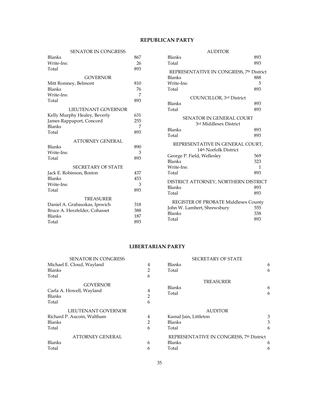# **REPUBLICAN PARTY**

| <b>SENATOR IN CONGRESS</b>                     |     | <b>AUDITOR</b>                                            |     |
|------------------------------------------------|-----|-----------------------------------------------------------|-----|
| <b>Blanks</b>                                  | 867 | <b>Blanks</b>                                             | 893 |
| Write-Ins:                                     | 26  | Total                                                     | 893 |
| Total                                          | 893 |                                                           |     |
| <b>GOVERNOR</b>                                |     | REPRESENTATIVE IN CONGRESS, 7th District<br><b>Blanks</b> | 888 |
| Mitt Romney, Belmont                           | 810 | Write-Ins:                                                | 5   |
| <b>Blanks</b>                                  | 76  | Total                                                     | 893 |
| Write-Ins:                                     | 7   |                                                           |     |
| Total                                          | 893 | COUNCILLOR, 3rd District                                  |     |
|                                                |     | <b>Blanks</b>                                             | 893 |
| LIEUTENANT GOVERNOR                            |     | Total                                                     | 893 |
| Kelly Murphy Healey, Beverly                   | 631 | <b>SENATOR IN GENERAL COURT</b>                           |     |
| James Rappaport, Concord                       | 255 | 3rd Middlesex District                                    |     |
| <b>Blanks</b>                                  | 7   | <b>Blanks</b>                                             | 893 |
| Total                                          | 893 | Total                                                     | 893 |
| <b>ATTORNEY GENERAL</b>                        |     |                                                           |     |
| <b>Blanks</b>                                  | 890 | REPRESENTATIVE IN GENERAL COURT,                          |     |
| Write-Ins:                                     | 3   | 14th Norfolk District                                     |     |
| Total                                          | 893 | George P. Field, Wellesley                                | 569 |
|                                                |     | <b>Blanks</b>                                             | 323 |
| <b>SECRETARY OF STATE</b>                      |     | Write-Ins:                                                | 1   |
| Jack E. Robinson, Boston                       | 437 | Total                                                     | 893 |
| <b>Blanks</b>                                  | 453 | DISTRICT ATTORNEY, NORTHERN DISTRICT                      |     |
| Write-Ins:                                     | 3   | <b>Blanks</b>                                             | 893 |
| Total                                          | 893 | Total                                                     | 893 |
| <b>TREASURER</b>                               |     |                                                           |     |
| Daniel A. Grabauskas, Ipswich                  | 318 | REGISTER OF PROBATE Middlesex County                      |     |
|                                                | 388 | John W. Lambert, Shrewsbury                               | 555 |
| Bruce A. Herzfelder, Cohasset<br><b>Blanks</b> | 187 | <b>Blanks</b>                                             | 338 |
|                                                |     | Total                                                     | 893 |
| Total                                          | 893 |                                                           |     |

# **LIBERTARIAN PARTY**

| <b>SENATOR IN CONGRESS</b>                                            |                          | <b>SECRETARY OF STATE</b>                  |        |
|-----------------------------------------------------------------------|--------------------------|--------------------------------------------|--------|
| Michael E. Cloud, Wayland                                             | $\overline{4}$           | <b>Blanks</b>                              | 6      |
| <b>Blanks</b>                                                         | 2                        | Total                                      | 6      |
| Total                                                                 | 6                        |                                            |        |
| <b>GOVERNOR</b><br>Carla A. Howell, Wayland<br><b>Blanks</b><br>Total | 4<br>$\overline{2}$<br>6 | <b>TREASURER</b><br><b>Blanks</b><br>Total | 6<br>6 |
| LIEUTENANT GOVERNOR                                                   |                          | <b>AUDITOR</b>                             |        |
| Richard P. Aucoin, Waltham                                            | $\overline{4}$           | Kamal Jain, Littleton                      | 3      |
| <b>Blanks</b>                                                         | $\mathcal{P}$            | <b>Blanks</b>                              | 3      |
| Total                                                                 | 6                        | Total                                      | 6      |
| <b>ATTORNEY GENERAL</b>                                               |                          | REPRESENTATIVE IN CONGRESS, 7th District   |        |
| <b>Blanks</b>                                                         | 6                        | <b>Blanks</b>                              | 6      |
| Total                                                                 | 6                        | Total                                      | 6      |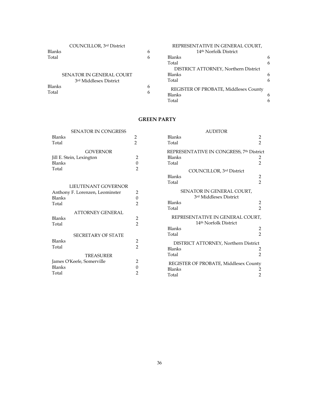|               | COUNCILLOR, 3rd District        |   | REPRESENTATIVE IN GENERAL COURT,      |   |
|---------------|---------------------------------|---|---------------------------------------|---|
| <b>Blanks</b> |                                 | 6 | 14th Norfolk District                 |   |
| Total         |                                 | 6 | <b>Blanks</b>                         | 6 |
|               |                                 |   | Total                                 | 6 |
|               |                                 |   | DISTRICT ATTORNEY, Northern District  |   |
|               | <b>SENATOR IN GENERAL COURT</b> |   | <b>Blanks</b>                         | 6 |
|               | 3rd Middlesex District          |   | Total                                 | 6 |
| <b>Blanks</b> |                                 | 6 | REGISTER OF PROBATE, Middlesex County |   |
| Total         |                                 | 6 | <b>Blanks</b>                         | 6 |
|               |                                 |   | Total                                 | 6 |

# **GREEN PARTY**

| <b>SENATOR IN CONGRESS</b>      |                     |
|---------------------------------|---------------------|
| <b>Blanks</b><br>Total          | 2<br>$\overline{2}$ |
| <b>GOVERNOR</b>                 |                     |
| Jill E. Stein, Lexington        | $\overline{2}$      |
| <b>Blanks</b>                   | $\boldsymbol{0}$    |
| Total                           | $\mathfrak{D}$      |
|                                 |                     |
| LIEUTENANT GOVERNOR             |                     |
| Anthony F. Lorenzen, Leominster | 2                   |
| <b>Blanks</b>                   | $\boldsymbol{0}$    |
| Total                           | $\mathcal{P}$       |
| <b>ATTORNEY GENERAL</b>         |                     |
| <b>Blanks</b>                   | 2                   |
| Total                           | $\mathfrak{D}$      |
| <b>SECRETARY OF STATE</b>       |                     |
| <b>Blanks</b>                   | $\overline{c}$      |
| Total                           | $\overline{2}$      |
|                                 |                     |
| <b>TREASURER</b>                |                     |
| James O'Keefe, Somerville       | $\overline{2}$      |
| <b>Blanks</b>                   | 0                   |
| Total                           | $\mathcal{P}$       |

| <b>AUDITOR</b>                                                     |                                  |
|--------------------------------------------------------------------|----------------------------------|
| <b>Blanks</b><br>Total                                             | 2<br>$\mathfrak{D}$              |
| REPRESENTATIVE IN CONGRESS, 7th District<br><b>Blanks</b><br>Total | 2<br>$\mathfrak{D}$              |
| COUNCILLOR, 3rd District                                           |                                  |
| <b>Blanks</b><br>Total                                             | $\overline{2}$<br>$\mathfrak{D}$ |
| SENATOR IN GENERAL COURT,<br>3rd Middlesex District                |                                  |
| <b>Blanks</b><br>Total                                             | 2<br>$\mathcal{P}$               |
| REPRESENTATIVE IN GENERAL COURT,<br>14th Norfolk District          |                                  |
| <b>Blanks</b><br>Total                                             | 2<br>$\mathcal{D}$               |
| DISTRICT ATTORNEY, Northern District<br><b>Blanks</b><br>Total     | 2<br>2                           |
| REGISTER OF PROBATE, Middlesex County<br><b>Blanks</b><br>Total    | 2<br>2                           |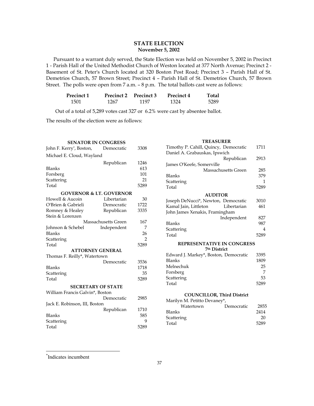# **STATE ELECTION November 5, 2002**

 Pursuant to a warrant duly served, the State Election was held on November 5, 2002 in Precinct 1 - Parish Hall of the United Methodist Church of Weston located at 377 North Avenue; Precinct 2 - Basement of St. Peter's Church located at 320 Boston Post Road; Precinct 3 – Parish Hall of St. Demetrios Church, 57 Brown Street; Precinct 4 – Parish Hall of St. Demetrios Church, 57 Brown Street. The polls were open from 7 a.m. – 8 p.m. The total ballots cast were as follows:

| <b>Precinct 1</b> |      | Precinct 2 Precinct 3 | <b>Precinct 4</b> | Total |
|-------------------|------|-----------------------|-------------------|-------|
| 1501              | 1267 | 1197                  | 1324              | 5289  |

Out of a total of 5,289 votes cast 327 or 6.2% were cast by absentee ballot.

The results of the election were as follows:

| <b>SENATOR IN CONGRESS</b>         |                     |                |
|------------------------------------|---------------------|----------------|
| John F. Kerry*, Boston,            | Democratic          | 3308           |
| Michael E. Cloud, Wayland          |                     |                |
|                                    | Republican          | 1246           |
| <b>Blanks</b>                      |                     | 613            |
| Forsberg                           |                     | 101            |
| Scattering                         |                     | 21             |
| Total                              |                     | 5289           |
| <b>GOVERNOR &amp; LT. GOVERNOR</b> |                     |                |
| Howell & Aucoin                    | Libertarian         | 30             |
| O'Brien & Gabrieli                 | Democratic          | 1722           |
| Romney & Healey                    | Republican          | 3335           |
| Stein & Lorenzen                   |                     |                |
|                                    | Massachusetts Green | 167            |
| Johnson & Schebel                  | Independent         | 7              |
| <b>Blanks</b>                      |                     | 26             |
| Scattering                         |                     | $\mathfrak{D}$ |
| Total                              |                     | 5289           |
| <b>ATTORNEY GENERAL</b>            |                     |                |
| Thomas F. Reilly*, Watertown       |                     |                |
|                                    | Democratic          | 3536           |
| Blanks                             |                     | 1718           |
| Scattering                         |                     | 35             |
| Total                              |                     | 5289           |
| <b>SECRETARY OF STATE</b>          |                     |                |
| William Francis Galvin*, Boston    |                     |                |
|                                    | Democratic          | 2985           |
| Jack E. Robinson, III, Boston      |                     |                |
|                                    | Republican          | 1710           |
| <b>Blanks</b>                      |                     | 585            |
| Scattering                         |                     | 9              |
| Total                              |                     | 5289           |

| <b>TREASURER</b>                                        |      |
|---------------------------------------------------------|------|
| Timothy P. Cahill, Quincy, Democratic                   | 1711 |
| Daniel A. Grabauskas, Ipswich                           |      |
| Republican                                              | 2913 |
| James O'Keefe, Somerville                               |      |
| Massachusetts Green                                     | 285  |
| <b>Blanks</b>                                           | 379  |
| Scattering                                              | 1    |
| Total                                                   | 5289 |
| <b>AUDITOR</b>                                          |      |
| Joseph DeNucci*, Newton, Democratic                     | 3010 |
| Kamal Jain, Littleton<br>Libertarian                    | 461  |
| John James Xenakis, Framingham                          |      |
| Independent                                             | 827  |
| <b>Blanks</b>                                           | 987  |
| Scattering                                              | 4    |
| Total                                                   | 5289 |
|                                                         |      |
| <b>REPRESENTATIVE IN CONGRESS</b>                       |      |
| 7th District                                            |      |
| Edward J. Markey*, Boston, Democratic                   | 3395 |
| <b>Blanks</b>                                           | 1809 |
| Melnechuk                                               | 25   |
| Forsberg                                                | 7    |
| Scattering                                              | 53   |
| Total                                                   | 5289 |
|                                                         |      |
| <b>COUNCILLOR, Third District</b>                       |      |
| Marilyn M. Petitto Devaney*,<br>Watertown<br>Democratic | 2855 |
| <b>Blanks</b>                                           | 2414 |
|                                                         | 20   |
| Scattering                                              |      |

Total 5289

<span id="page-37-0"></span>\* Indicates incumbent

 $\overline{a}$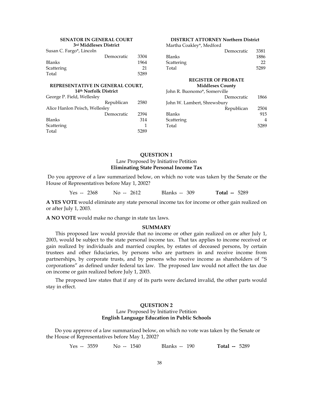| <b>SENATOR IN GENERAL COURT</b>  |            | <b>DISTRICT ATTORNEY Northern District</b> |                             |                            |                |
|----------------------------------|------------|--------------------------------------------|-----------------------------|----------------------------|----------------|
| 3rd Middlesex District           |            |                                            | Martha Coakley*, Medford    |                            |                |
| Susan C. Fargo*, Lincoln         |            |                                            |                             | Democratic                 | 3381           |
|                                  | Democratic | 3304                                       | <b>Blanks</b>               |                            | 1886           |
| Blanks                           |            | 1964                                       | Scattering                  |                            | 22             |
| Scattering                       |            | 21                                         | Total                       |                            | 5289           |
| Total                            |            | 5289                                       |                             |                            |                |
|                                  |            |                                            |                             | <b>REGISTER OF PROBATE</b> |                |
| REPRESENTATIVE IN GENERAL COURT, |            | <b>Middlesex County</b>                    |                             |                            |                |
| 14th Norfolk District            |            | John R. Buonomo*, Somerville               |                             |                            |                |
| George P. Field, Wellesley       |            |                                            |                             | Democratic                 | 1866           |
|                                  | Republican | 2580                                       | John W. Lambert, Shrewsbury |                            |                |
| Alice Hanlon Peisch, Wellesley   |            |                                            |                             | Republican                 | 2504           |
|                                  | Democratic | 2394                                       | Blanks                      |                            | 915            |
| Blanks                           |            | 314                                        | Scattering                  |                            | $\overline{4}$ |
| Scattering                       |            | 1                                          | Total                       |                            | 5289           |
| Total                            |            | 5289                                       |                             |                            |                |
|                                  |            |                                            |                             |                            |                |

# **QUESTION 1** Law Proposed by Initiative Petition **Eliminating State Personal Income Tax**

Do you approve of a law summarized below, on which no vote was taken by the Senate or the House of Representatives before May 1, 2002?

Yes -- 2368 No -- 2612 Blanks -- 309 **Total --** 5289

**A YES VOTE** would eliminate any state personal income tax for income or other gain realized on or after July 1, 2003.

**A NO VOTE** would make no change in state tax laws.

#### **SUMMARY**

This proposed law would provide that no income or other gain realized on or after July 1, 2003, would be subject to the state personal income tax. That tax applies to income received or gain realized by individuals and married couples, by estates of deceased persons, by certain trustees and other fiduciaries, by persons who are partners in and receive income from partnerships, by corporate trusts, and by persons who receive income as shareholders of "S corporations" as defined under federal tax law. The proposed law would not affect the tax due on income or gain realized before July 1, 2003.

The proposed law states that if any of its parts were declared invalid, the other parts would stay in effect.

# **QUESTION 2**

#### Law Proposed by Initiative Petition **English Language Education in Public Schools**

Do you approve of a law summarized below, on which no vote was taken by the Senate or the House of Representatives before May 1, 2002?

Yes -- 3559 No -- 1540 Blanks -- 190 **Total --** 5289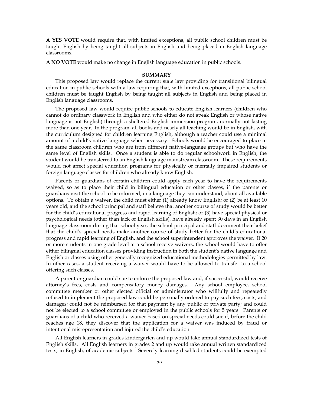**A YES VOTE** would require that, with limited exceptions, all public school children must be taught English by being taught all subjects in English and being placed in English language classrooms.

**A NO VOTE** would make no change in English language education in public schools.

#### **SUMMARY**

This proposed law would replace the current state law providing for transitional bilingual education in public schools with a law requiring that, with limited exceptions, all public school children must be taught English by being taught all subjects in English and being placed in English language classrooms.

The proposed law would require public schools to educate English learners (children who cannot do ordinary classwork in English and who either do not speak English or whose native language is not English) through a sheltered English immersion program, normally not lasting more than one year. In the program, all books and nearly all teaching would be in English, with the curriculum designed for children learning English, although a teacher could use a minimal amount of a child's native language when necessary. Schools would be encouraged to place in the same classroom children who are from different native-language groups but who have the same level of English skills. Once a student is able to do regular schoolwork in English, the student would be transferred to an English language mainstream classroom. These requirements would not affect special education programs for physically or mentally impaired students or foreign language classes for children who already know English.

Parents or guardians of certain children could apply each year to have the requirements waived, so as to place their child in bilingual education or other classes, if the parents or guardians visit the school to be informed, in a language they can understand, about all available options. To obtain a waiver, the child must either (1) already know English; or (2) be at least 10 years old, and the school principal and staff believe that another course of study would be better for the child's educational progress and rapid learning of English; or (3) have special physical or psychological needs (other than lack of English skills), have already spent 30 days in an English language classroom during that school year, the school principal and staff document their belief that the child's special needs make another course of study better for the child's educational progress and rapid learning of English, and the school superintendent approves the waiver. If 20 or more students in one grade level at a school receive waivers, the school would have to offer either bilingual education classes providing instruction in both the student's native language and English or classes using other generally recognized educational methodologies permitted by law. In other cases, a student receiving a waiver would have to be allowed to transfer to a school offering such classes.

A parent or guardian could sue to enforce the proposed law and, if successful, would receive attorney's fees, costs and compensatory money damages. Any school employee, school committee member or other elected official or administrator who willfully and repeatedly refused to implement the proposed law could be personally ordered to pay such fees, costs, and damages; could not be reimbursed for that payment by any public or private party; and could not be elected to a school committee or employed in the public schools for 5 years. Parents or guardians of a child who received a waiver based on special needs could sue if, before the child reaches age 18, they discover that the application for a waiver was induced by fraud or intentional misrepresentation and injured the child's education.

All English learners in grades kindergarten and up would take annual standardized tests of English skills. All English learners in grades 2 and up would take annual written standardized tests, in English, of academic subjects. Severely learning disabled students could be exempted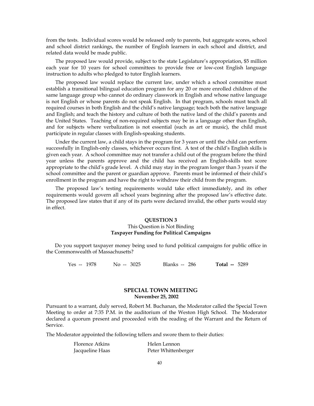from the tests. Individual scores would be released only to parents, but aggregate scores, school and school district rankings, the number of English learners in each school and district, and related data would be made public.

The proposed law would provide, subject to the state Legislature's appropriation, \$5 million each year for 10 years for school committees to provide free or low-cost English language instruction to adults who pledged to tutor English learners.

The proposed law would replace the current law, under which a school committee must establish a transitional bilingual education program for any 20 or more enrolled children of the same language group who cannot do ordinary classwork in English and whose native language is not English or whose parents do not speak English. In that program, schools must teach all required courses in both English and the child's native language; teach both the native language and English; and teach the history and culture of both the native land of the child's parents and the United States. Teaching of non-required subjects may be in a language other than English, and for subjects where verbalization is not essential (such as art or music), the child must participate in regular classes with English-speaking students.

Under the current law, a child stays in the program for 3 years or until the child can perform successfully in English-only classes, whichever occurs first. A test of the child's English skills is given each year. A school committee may not transfer a child out of the program before the third year unless the parents approve and the child has received an English-skills test score appropriate to the child's grade level. A child may stay in the program longer than 3 years if the school committee and the parent or guardian approve. Parents must be informed of their child's enrollment in the program and have the right to withdraw their child from the program.

The proposed law's testing requirements would take effect immediately, and its other requirements would govern all school years beginning after the proposed law's effective date. The proposed law states that if any of its parts were declared invalid, the other parts would stay in effect.

# **QUESTION 3** This Question is Not Binding **Taxpayer Funding for Political Campaigns**

Do you support taxpayer money being used to fund political campaigns for public office in the Commonwealth of Massachusetts?

Yes -- 1978 No -- 3025 Blanks -- 286 **Total --** 5289

# **SPECIAL TOWN MEETING November 25, 2002**

Pursuant to a warrant, duly served, Robert M. Buchanan, the Moderator called the Special Town Meeting to order at 7:35 P.M. in the auditorium of the Weston High School. The Moderator declared a quorum present and proceeded with the reading of the Warrant and the Return of Service.

The Moderator appointed the following tellers and swore them to their duties:

| Florence Atkins | Helen Lennon        |
|-----------------|---------------------|
| Jacqueline Haas | Peter Whittenberger |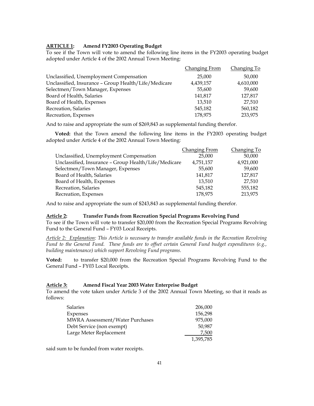# **ARTICLE 1: Amend FY2003 Operating Budget**

To see if the Town will vote to amend the following line items in the FY2003 operating budget adopted under Article 4 of the 2002 Annual Town Meeting:

|                                                      | <b>Changing From</b> | Changing To |
|------------------------------------------------------|----------------------|-------------|
| Unclassified, Unemployment Compensation              | 25,000               | 50,000      |
| Unclassified, Insurance - Group Health/Life/Medicare | 4,439,157            | 4,610,000   |
| Selectmen/Town Manager, Expenses                     | 55,600               | 59,600      |
| Board of Health, Salaries                            | 141,817              | 127,817     |
| Board of Health, Expenses                            | 13,510               | 27,510      |
| Recreation, Salaries                                 | 545.182              | 560,182     |
| Recreation, Expenses                                 | 178,975              | 233,975     |

And to raise and appropriate the sum of \$269,843 as supplemental funding therefor.

**Voted:** that the Town amend the following line items in the FY2003 operating budget adopted under Article 4 of the 2002 Annual Town Meeting:

|                                                      | Changing From | Changing To |
|------------------------------------------------------|---------------|-------------|
| Unclassified, Unemployment Compensation              | 25,000        | 50,000      |
| Unclassified, Insurance - Group Health/Life/Medicare | 4,751,157     | 4,921,000   |
| Selectmen/Town Manager, Expenses                     | 55,600        | 59,600      |
| Board of Health, Salaries                            | 141,817       | 127,817     |
| Board of Health, Expenses                            | 13,510        | 27,510      |
| Recreation, Salaries                                 | 545,182       | 555,182     |
| Recreation, Expenses                                 | 178,975       | 213,975     |
|                                                      |               |             |

And to raise and appropriate the sum of \$243,843 as supplemental funding therefor.

# **Article 2: Transfer Funds from Recreation Special Programs Revolving Fund**

To see if the Town will vote to transfer \$20,000 from the Recreation Special Programs Revolving Fund to the General Fund – FY03 Local Receipts.

*Article 2: Explanation: This Article is necessary to transfer available funds in the Recreation Revolving Fund to the General Fund. These funds are to offset certain General Fund budget expenditures (e.g., building maintenance) which support Revolving Fund programs.* 

**Voted:** to transfer \$20,000 from the Recreation Special Programs Revolving Fund to the General Fund – FY03 Local Receipts.

#### **Article 3: Amend Fiscal Year 2003 Water Enterprise Budget**

To amend the vote taken under Article 3 of the 2002 Annual Town Meeting, so that it reads as follows:

| <b>Salaries</b>                        | 206,000   |
|----------------------------------------|-----------|
| Expenses                               | 156,298   |
| <b>MWRA Assessment/Water Purchases</b> | 975,000   |
| Debt Service (non exempt)              | 50,987    |
| Large Meter Replacement                | 7,500     |
|                                        | 1,395,785 |

said sum to be funded from water receipts.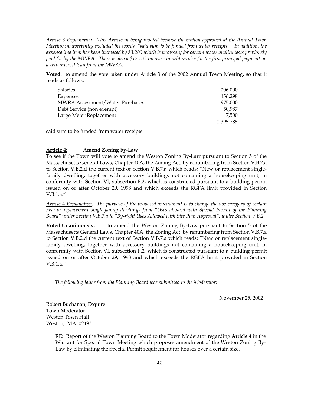*Article 3 Explanation: This Article in being revoted because the motion approved at the Annual Town Meeting inadvertently excluded the words, "said sum to be funded from water receipts." In addition, the expense line item has been increased by \$3,200 which is necessary for certain water quality tests previously paid for by the MWRA. There is also a \$12,733 increase in debt service for the first principal payment on a zero interest loan from the MWRA.* 

**Voted:** to amend the vote taken under Article 3 of the 2002 Annual Town Meeting, so that it reads as follows:

| <b>Salaries</b>                        | 206,000   |
|----------------------------------------|-----------|
| Expenses                               | 156.298   |
| <b>MWRA Assessment/Water Purchases</b> | 975,000   |
| Debt Service (non exempt)              | 50,987    |
| Large Meter Replacement                | 7,500     |
|                                        | 1,395,785 |

said sum to be funded from water receipts.

#### **Article 4: Amend Zoning by-Law**

To see if the Town will vote to amend the Weston Zoning By-Law pursuant to Section 5 of the Massachusetts General Laws, Chapter 40A, the Zoning Act, by renumbering from Section V.B.7.a to Section V.B.2.d the current text of Section V.B.7.a which reads; "New or replacement singlefamily dwelling, together with accessory buildings not containing a housekeeping unit, in conformity with Section VI, subsection F.2, which is constructed pursuant to a building permit issued on or after October 29, 1998 and which exceeds the RGFA limit provided in Section V.B.1.a."

*Article 4 Explanation: The purpose of the proposed amendment is to change the use category of certain new or replacement single-family dwellings from "Uses allowed with Special Permit of the Planning Board" under Section V.B.7.a to "By-right Uses Allowed with Site Plan Approval", under Section V.B.2.* 

**Voted Unanimously:** to amend the Weston Zoning By-Law pursuant to Section 5 of the Massachusetts General Laws, Chapter 40A, the Zoning Act, by renumbering from Section V.B.7.a to Section V.B.2.d the current text of Section V.B.7.a which reads; "New or replacement singlefamily dwelling, together with accessory buildings not containing a housekeeping unit, in conformity with Section VI, subsection F.2, which is constructed pursuant to a building permit issued on or after October 29, 1998 and which exceeds the RGFA limit provided in Section V.B.1.a."

*The following letter from the Planning Board was submitted to the Moderator:* 

November 25, 2002

Robert Buchanan, Esquire Town Moderator Weston Town Hall Weston, MA 02493

> RE: Report of the Weston Planning Board to the Town Moderator regarding **Article 4** in the Warrant for Special Town Meeting which proposes amendment of the Weston Zoning By-Law by eliminating the Special Permit requirement for houses over a certain size.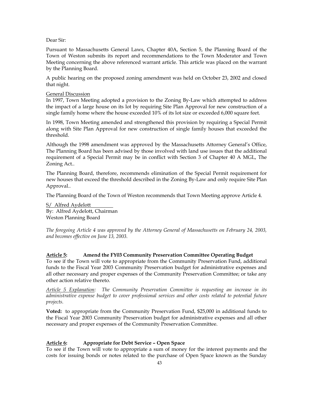# Dear Sir:

Pursuant to Massachusetts General Laws, Chapter 40A, Section 5, the Planning Board of the Town of Weston submits its report and recommendations to the Town Moderator and Town Meeting concerning the above referenced warrant article. This article was placed on the warrant by the Planning Board.

A public hearing on the proposed zoning amendment was held on October 23, 2002 and closed that night.

#### General Discussion

In 1997, Town Meeting adopted a provision to the Zoning By-Law which attempted to address the impact of a large house on its lot by requiring Site Plan Approval for new construction of a single family home where the house exceeded 10% of its lot size or exceeded 6,000 square feet.

In 1998, Town Meeting amended and strengthened this provision by requiring a Special Permit along with Site Plan Approval for new construction of single family houses that exceeded the threshold.

Although the 1998 amendment was approved by the Massachusetts Attorney General's Office, The Planning Board has been advised by those involved with land use issues that the additional requirement of a Special Permit may be in conflict with Section 3 of Chapter 40 A MGL, The Zoning Act..

The Planning Board, therefore, recommends elimination of the Special Permit requirement for new houses that exceed the threshold described in the Zoning By-Law and only require Site Plan Approval..

The Planning Board of the Town of Weston recommends that Town Meeting approve Article 4.

S/ Alfred Aydelott By: Alfred Aydelott, Chairman Weston Planning Board

*The foregoing Article 4 was approved by the Attorney General of Massachusetts on February 24, 2003, and becomes effective on June 13, 2003.* 

# **Article 5: Amend the FY03 Community Preservation Committee Operating Budget**

To see if the Town will vote to appropriate from the Community Preservation Fund, additional funds to the Fiscal Year 2003 Community Preservation budget for administrative expenses and all other necessary and proper expenses of the Community Preservation Committee; or take any other action relative thereto.

*Article 5 Explanation: The Community Preservation Committee is requesting an increase in its administrative expense budget to cover professional services and other costs related to potential future projects.* 

**Voted:** to appropriate from the Community Preservation Fund, \$25,000 in additional funds to the Fiscal Year 2003 Community Preservation budget for administrative expenses and all other necessary and proper expenses of the Community Preservation Committee.

#### **Article 6: Appropriate for Debt Service – Open Space**

To see if the Town will vote to appropriate a sum of money for the interest payments and the costs for issuing bonds or notes related to the purchase of Open Space known as the Sunday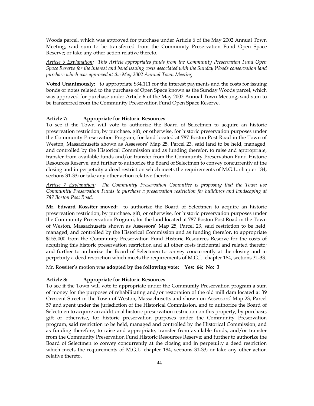Woods parcel, which was approved for purchase under Article 6 of the May 2002 Annual Town Meeting, said sum to be transferred from the Community Preservation Fund Open Space Reserve; or take any other action relative thereto.

*Article 6 Explanation: This Article appropriates funds from the Community Preservation Fund Open Space Reserve for the interest and bond issuing costs associated with the Sunday Woods conservation land purchase which was approved at the May 2002 Annual Town Meeting.* 

**Voted Unanimously:** to appropriate \$34,111 for the interest payments and the costs for issuing bonds or notes related to the purchase of Open Space known as the Sunday Woods parcel, which was approved for purchase under Article 6 of the May 2002 Annual Town Meeting, said sum to be transferred from the Community Preservation Fund Open Space Reserve.

#### **Article 7: Appropriate for Historic Resources**

To see if the Town will vote to authorize the Board of Selectmen to acquire an historic preservation restriction, by purchase, gift, or otherwise, for historic preservation purposes under the Community Preservation Program, for land located at 787 Boston Post Road in the Town of Weston, Massachusetts shown as Assessors' Map 25, Parcel 23, said land to be held, managed, and controlled by the Historical Commission and as funding therefor, to raise and appropriate, transfer from available funds and/or transfer from the Community Preservation Fund Historic Resources Reserve; and further to authorize the Board of Selectmen to convey concurrently at the closing and in perpetuity a deed restriction which meets the requirements of M.G.L. chapter 184, sections 31-33; or take any other action relative thereto.

*Article 7 Explanation: The Community Preservation Committee is proposing that the Town use Community Preservation Funds to purchase a preservation restriction for buildings and landscaping at 787 Boston Post Road.* 

**Mr. Edward Rossiter moved:** to authorize the Board of Selectmen to acquire an historic preservation restriction, by purchase, gift, or otherwise, for historic preservation purposes under the Community Preservation Program, for the land located at 787 Boston Post Road in the Town of Weston, Massachusetts shown as Assessors' Map 25, Parcel 23, said restriction to be held, managed, and controlled by the Historical Commission and as funding therefor, to appropriate \$155,000 from the Community Preservation Fund Historic Resources Reserve for the costs of acquiring this historic preservation restriction and all other costs incidental and related thereto; and further to authorize the Board of Selectmen to convey concurrently at the closing and in perpetuity a deed restriction which meets the requirements of M.G.L. chapter 184, sections 31-33.

Mr. Rossiter's motion was **adopted by the following vote: Yes: 64; No: 3** 

#### **Article 8: Appropriate for Historic Resources**

To see if the Town will vote to appropriate under the Community Preservation program a sum of money for the purposes of rehabilitating and/or restoration of the old mill dam located at 39 Crescent Street in the Town of Weston, Massachusetts and shown on Assessors' Map 23, Parcel 57 and spent under the jurisdiction of the Historical Commission, and to authorize the Board of Selectmen to acquire an additional historic preservation restriction on this property, by purchase, gift or otherwise, for historic preservation purposes under the Community Preservation program, said restriction to be held, managed and controlled by the Historical Commission, and as funding therefore, to raise and appropriate, transfer from available funds, and/or transfer from the Community Preservation Fund Historic Resources Reserve; and further to authorize the Board of Selectmen to convey concurrently at the closing and in perpetuity a deed restriction which meets the requirements of M.G.L. chapter 184, sections 31-33; or take any other action relative thereto.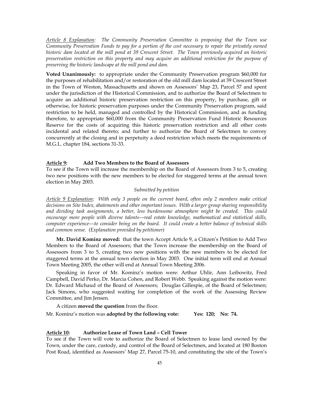*Article 8 Explanation: The Community Preservation Committee is proposing that the Town use Community Preservation Funds to pay for a portion of the cost necessary to repair the privately owned historic dam located at the mill pond at 39 Crescent Street. The Town previously acquired an historic preservation restriction on this property and may acquire an additional restriction for the purpose of preserving the historic landscape at the mill pond and dam.* 

**Voted Unanimously:** to appropriate under the Community Preservation program \$60,000 for the purposes of rehabilitation and/or restoration of the old mill dam located at 39 Crescent Street in the Town of Weston, Massachusetts and shown on Assessors' Map 23, Parcel 57 and spent under the jurisdiction of the Historical Commission, and to authorize the Board of Selectmen to acquire an additional historic preservation restriction on this property, by purchase, gift or otherwise, for historic preservation purposes under the Community Preservation program, said restriction to be held, managed and controlled by the Historical Commission, and as funding therefore, to appropriate \$60,000 from the Community Preservation Fund Historic Resources Reserve for the costs of acquiring this historic preservation restriction and all other costs incidental and related thereto; and further to authorize the Board of Selectmen to convey concurrently at the closing and in perpetuity a deed restriction which meets the requirements of M.G.L. chapter 184, sections 31-33.

#### **Article 9: Add Two Members to the Board of Assessors**

To see if the Town will increase the membership on the Board of Assessors from 3 to 5, creating two new positions with the new members to be elected for staggered terms at the annual town election in May 2003.

# *Submitted by petition*

*Article 9 Explanation: With only 3 people on the current board, often only 2 members make critical decisions on Site Index, abatements and other important issues. With a larger group sharing responsibility and dividing task assignments, a better, less burdensome atmosphere might be created. This could encourage more people with diverse talents––real estate knowledge, mathematical and statistical skills, computer experience––to consider being on the board. It could create a better balance of technical skills and common sense. (Explanation provided by petitioner)* 

**Mr. David Kominz moved:** that the town Accept Article 9, a Citizen's Petition to Add Two Members to the Board of Assessors; that the Town increase the membership on the Board of Assessors from 3 to 5, creating two new positions with the new members to be elected for staggered terms at the annual town election in May 2003. One initial term will end at Annual Town Meeting 2005, the other will end at Annual Town Meeting 2006.

Speaking in favor of Mr. Kominz's motion were: Arthur Uhlir, Ann Leibowitz, Fred Campbell, David Perko, Dr. Marcia Cohen, and Robert Webb. Speaking against the motion were: Dr. Edward Michaud of the Board of Assessors; Douglas Gillespie, of the Board of Selectmen; Jack Simons, who suggested waiting for completion of the work of the Assessing Review Committee, and Jim Jensen.

A citizen **moved the question** from the floor.

Mr. Kominz's motion was **adopted by the following vote: Yes: 120; No: 74.** 

# **Article 10: Authorize Lease of Town Land – Cell Tower**

To see if the Town will vote to authorize the Board of Selectmen to lease land owned by the Town, under the care, custody, and control of the Board of Selectmen, and located at 180 Boston Post Road, identified as Assessors' Map 27, Parcel 75-10, and constituting the site of the Town's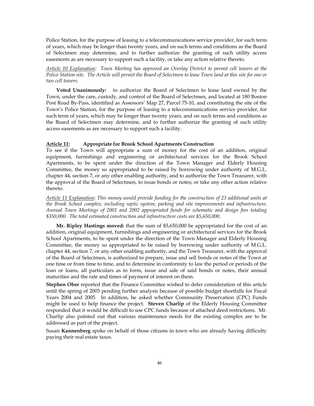Police Station, for the purpose of leasing to a telecommunications service provider, for such term of years, which may be longer than twenty years, and on such terms and conditions as the Board of Selectmen may determine, and to further authorize the granting of such utility access easements as are necessary to support such a facility, or take any action relative thereto.

*Article 10 Explanation: Town Meeting has approved an Overlay District to permit cell towers at the Police Station site. The Article will permit the Board of Selectmen to lease Town land at this site for one or two cell towers.* 

**Voted Unanimously:** to authorize the Board of Selectmen to lease land owned by the Town, under the care, custody, and control of the Board of Selectmen, and located at 180 Boston Post Road By-Pass, identified as Assessors' Map 27, Parcel 75-10, and constituting the site of the Town's Police Station, for the purpose of leasing to a telecommunications service provider, for such term of years, which may be longer than twenty years, and on such terms and conditions as the Board of Selectmen may determine, and to further authorize the granting of such utility access easements as are necessary to support such a facility.

# **Article 11: Appropriate for Brook School Apartments Construction**

To see if the Town will appropriate a sum of money for the cost of an addition, original equipment, furnishings and engineering or architectural services for the Brook School Apartments, to be spent under the direction of the Town Manager and Elderly Housing Committee, the money so appropriated to be raised by borrowing under authority of M.G.L. chapter 44, section 7, or any other enabling authority, and to authorize the Town Treasurer, with the approval of the Board of Selectmen, to issue bonds or notes; or take any other action relative thereto.

*Article 11 Explanation: This money would provide funding for the construction of 23 additional units at the Brook School complex, including septic system, parking and site improvements and infrastructure. Annual Town Meetings of 2001 and 2002 appropriated funds for schematic and design fees totaling \$350,000. The total estimated construction and infrastructure costs are \$5,650,000.* 

**Mr. Ripley Hastings moved:** that the sum of \$5,650,000 be appropriated for the cost of an addition, original equipment, furnishings and engineering or architectural services for the Brook School Apartments, to be spent under the direction of the Town Manager and Elderly Housing Committee, the money so appropriated to be raised by borrowing under authority of M.G.L. chapter 44, section 7, or any other enabling authority, and the Town Treasurer, with the approval of the Board of Selectmen, is authorized to prepare, issue and sell bonds or notes of the Town at one time or from time to time, and to determine in conformity to law the period or periods of the loan or loans, all particulars as to form, issue and sale of said bonds or notes, their annual maturities and the rate and times of payment of interest on them.

**Stephen Ober** reported that the Finance Committee wished to defer consideration of this article until the spring of 2003 pending further analysis because of possible budget shortfalls for Fiscal Years 2004 and 2005. In addition, he asked whether Community Preservation (CPC) Funds might be used to help finance the project. **Steven Charlip** of the Elderly Housing Committee responded that it would be difficult to use CPC funds because of attached deed restrictions. Mr. Charlip also pointed out that various maintenance needs for the existing complex are to be addressed as part of the project.

Susan **Kannenberg** spoke on behalf of those citizens in town who are already having difficulty paying their real estate taxes.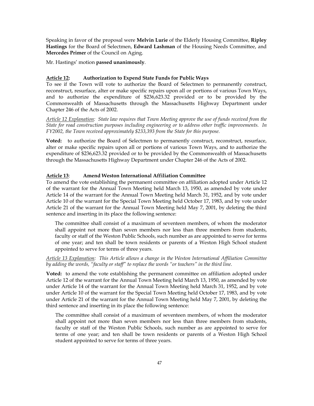Speaking in favor of the proposal were **Melvin Lurie** of the Elderly Housing Committee, **Ripley Hastings** for the Board of Selectmen, **Edward Lashman** of the Housing Needs Committee, and **Mercedes Primer** of the Council on Aging.

Mr. Hastings' motion **passed unanimously**.

#### **Article 12: Authorization to Expend State Funds for Public Ways**

To see if the Town will vote to authorize the Board of Selectmen to permanently construct, reconstruct, resurface, alter or make specific repairs upon all or portions of various Town Ways, and to authorize the expenditure of \$236,623.32 provided or to be provided by the Commonwealth of Massachusetts through the Massachusetts Highway Department under Chapter 246 of the Acts of 2002.

*Article 12 Explanation: State law requires that Town Meeting approve the use of funds received from the State for road construction purposes including engineering or to address other traffic improvements. In FY2002, the Town received approximately \$233,393 from the State for this purpose.* 

Voted: to authorize the Board of Selectmen to permanently construct, reconstruct, resurface, alter or make specific repairs upon all or portions of various Town Ways, and to authorize the expenditure of \$236,623.32 provided or to be provided by the Commonwealth of Massachusetts through the Massachusetts Highway Department under Chapter 246 of the Acts of 2002.

# **Article 13**: **Amend Weston International Affiliation Committee**

To amend the vote establishing the permanent committee on affiliation adopted under Article 12 of the warrant for the Annual Town Meeting held March 13, 1950, as amended by vote under Article 14 of the warrant for the Annual Town Meeting held March 31, 1952, and by vote under Article 10 of the warrant for the Special Town Meeting held October 17, 1983, and by vote under Article 21 of the warrant for the Annual Town Meeting held May 7, 2001, by deleting the third sentence and inserting in its place the following sentence:

The committee shall consist of a maximum of seventeen members, of whom the moderator shall appoint not more than seven members nor less than three members from students, faculty or staff of the Weston Public Schools, such number as are appointed to serve for terms of one year; and ten shall be town residents or parents of a Weston High School student appointed to serve for terms of three years.

*Article 13 Explanation: This Article allows a change in the Weston International Affiliation Committee by adding the words, "faculty or staff" to replace the words "or teachers" in the third line.* 

**Voted:** to amend the vote establishing the permanent committee on affiliation adopted under Article 12 of the warrant for the Annual Town Meeting held March 13, 1950, as amended by vote under Article 14 of the warrant for the Annual Town Meeting held March 31, 1952, and by vote under Article 10 of the warrant for the Special Town Meeting held October 17, 1983, and by vote under Article 21 of the warrant for the Annual Town Meeting held May 7, 2001, by deleting the third sentence and inserting in its place the following sentence:

The committee shall consist of a maximum of seventeen members, of whom the moderator shall appoint not more than seven members nor less than three members from students, faculty or staff of the Weston Public Schools, such number as are appointed to serve for terms of one year; and ten shall be town residents or parents of a Weston High School student appointed to serve for terms of three years.